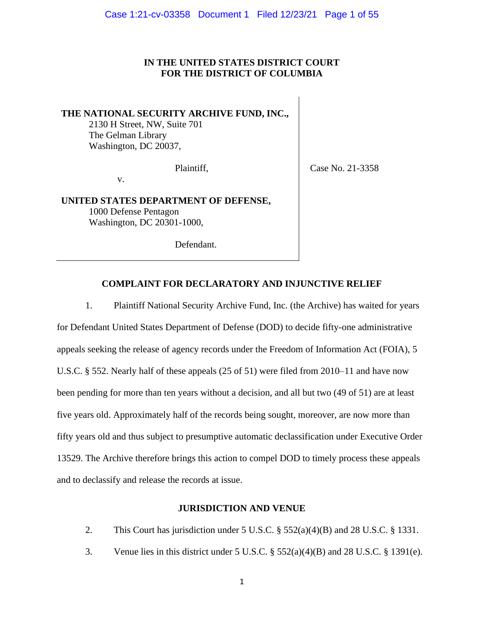## **IN THE UNITED STATES DISTRICT COURT FOR THE DISTRICT OF COLUMBIA**

# **THE NATIONAL SECURITY ARCHIVE FUND, INC.,**

2130 H Street, NW, Suite 701 The Gelman Library Washington, DC 20037,

v.

Plaintiff, Case No. 21-3358

**UNITED STATES DEPARTMENT OF DEFENSE,**  1000 Defense Pentagon Washington, DC 20301-1000,

Defendant.

## **COMPLAINT FOR DECLARATORY AND INJUNCTIVE RELIEF**

1. Plaintiff National Security Archive Fund, Inc. (the Archive) has waited for years for Defendant United States Department of Defense (DOD) to decide fifty-one administrative appeals seeking the release of agency records under the Freedom of Information Act (FOIA), 5 U.S.C. § 552. Nearly half of these appeals (25 of 51) were filed from 2010–11 and have now been pending for more than ten years without a decision, and all but two (49 of 51) are at least five years old. Approximately half of the records being sought, moreover, are now more than fifty years old and thus subject to presumptive automatic declassification under Executive Order 13529. The Archive therefore brings this action to compel DOD to timely process these appeals and to declassify and release the records at issue.

## **JURISDICTION AND VENUE**

- 2. This Court has jurisdiction under 5 U.S.C. § 552(a)(4)(B) and 28 U.S.C. § 1331.
- 3. Venue lies in this district under 5 U.S.C. § 552(a)(4)(B) and 28 U.S.C. § 1391(e).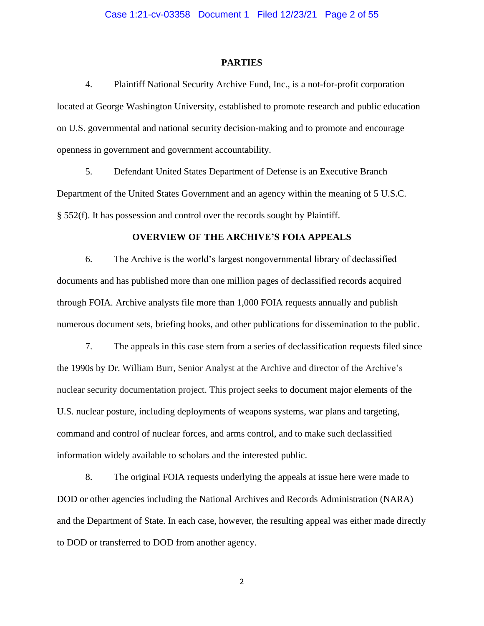#### **PARTIES**

4. Plaintiff National Security Archive Fund, Inc., is a not-for-profit corporation located at George Washington University, established to promote research and public education on U.S. governmental and national security decision-making and to promote and encourage openness in government and government accountability.

5. Defendant United States Department of Defense is an Executive Branch Department of the United States Government and an agency within the meaning of 5 U.S.C. § 552(f). It has possession and control over the records sought by Plaintiff.

#### **OVERVIEW OF THE ARCHIVE'S FOIA APPEALS**

6. The Archive is the world's largest nongovernmental library of declassified documents and has published more than one million pages of declassified records acquired through FOIA. Archive analysts file more than 1,000 FOIA requests annually and publish numerous document sets, briefing books, and other publications for dissemination to the public.

7. The appeals in this case stem from a series of declassification requests filed since the 1990s by Dr. William Burr, Senior Analyst at the Archive and director of the Archive's nuclear security documentation project. This project seeks to document major elements of the U.S. nuclear posture, including deployments of weapons systems, war plans and targeting, command and control of nuclear forces, and arms control, and to make such declassified information widely available to scholars and the interested public.

8. The original FOIA requests underlying the appeals at issue here were made to DOD or other agencies including the National Archives and Records Administration (NARA) and the Department of State. In each case, however, the resulting appeal was either made directly to DOD or transferred to DOD from another agency.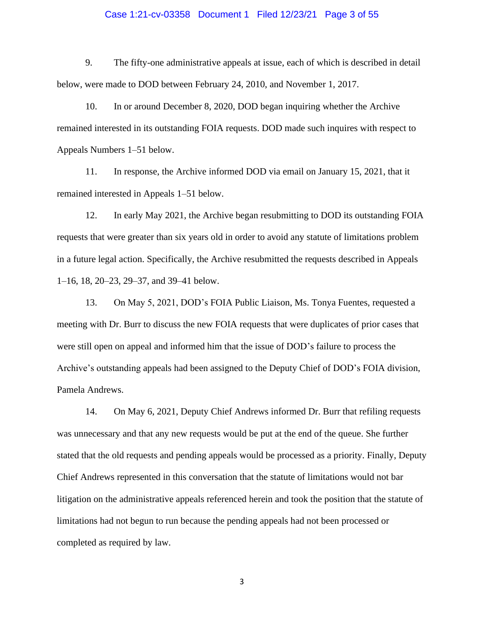#### Case 1:21-cv-03358 Document 1 Filed 12/23/21 Page 3 of 55

9. The fifty-one administrative appeals at issue, each of which is described in detail below, were made to DOD between February 24, 2010, and November 1, 2017.

10. In or around December 8, 2020, DOD began inquiring whether the Archive remained interested in its outstanding FOIA requests. DOD made such inquires with respect to Appeals Numbers 1–51 below.

11. In response, the Archive informed DOD via email on January 15, 2021, that it remained interested in Appeals 1–51 below.

12. In early May 2021, the Archive began resubmitting to DOD its outstanding FOIA requests that were greater than six years old in order to avoid any statute of limitations problem in a future legal action. Specifically, the Archive resubmitted the requests described in Appeals 1–16, 18, 20–23, 29–37, and 39–41 below.

13. On May 5, 2021, DOD's FOIA Public Liaison, Ms. Tonya Fuentes, requested a meeting with Dr. Burr to discuss the new FOIA requests that were duplicates of prior cases that were still open on appeal and informed him that the issue of DOD's failure to process the Archive's outstanding appeals had been assigned to the Deputy Chief of DOD's FOIA division, Pamela Andrews.

14. On May 6, 2021, Deputy Chief Andrews informed Dr. Burr that refiling requests was unnecessary and that any new requests would be put at the end of the queue. She further stated that the old requests and pending appeals would be processed as a priority. Finally, Deputy Chief Andrews represented in this conversation that the statute of limitations would not bar litigation on the administrative appeals referenced herein and took the position that the statute of limitations had not begun to run because the pending appeals had not been processed or completed as required by law.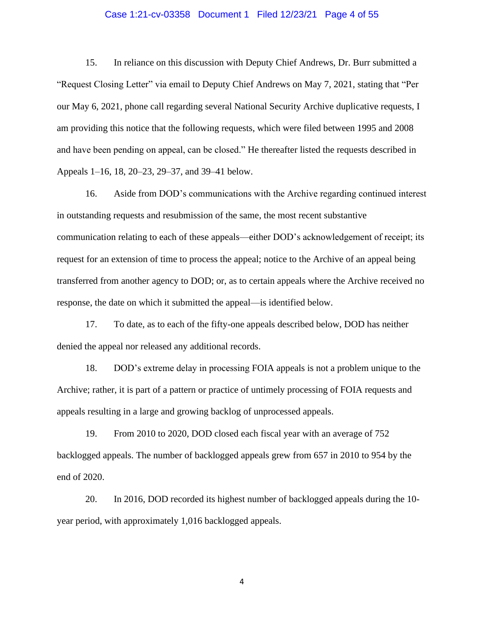#### Case 1:21-cv-03358 Document 1 Filed 12/23/21 Page 4 of 55

15. In reliance on this discussion with Deputy Chief Andrews, Dr. Burr submitted a "Request Closing Letter" via email to Deputy Chief Andrews on May 7, 2021, stating that "Per our May 6, 2021, phone call regarding several National Security Archive duplicative requests, I am providing this notice that the following requests, which were filed between 1995 and 2008 and have been pending on appeal, can be closed." He thereafter listed the requests described in Appeals 1–16, 18, 20–23, 29–37, and 39–41 below.

16. Aside from DOD's communications with the Archive regarding continued interest in outstanding requests and resubmission of the same, the most recent substantive communication relating to each of these appeals—either DOD's acknowledgement of receipt; its request for an extension of time to process the appeal; notice to the Archive of an appeal being transferred from another agency to DOD; or, as to certain appeals where the Archive received no response, the date on which it submitted the appeal—is identified below.

17. To date, as to each of the fifty-one appeals described below, DOD has neither denied the appeal nor released any additional records.

18. DOD's extreme delay in processing FOIA appeals is not a problem unique to the Archive; rather, it is part of a pattern or practice of untimely processing of FOIA requests and appeals resulting in a large and growing backlog of unprocessed appeals.

19. From 2010 to 2020, DOD closed each fiscal year with an average of 752 backlogged appeals. The number of backlogged appeals grew from 657 in 2010 to 954 by the end of 2020.

20. In 2016, DOD recorded its highest number of backlogged appeals during the 10 year period, with approximately 1,016 backlogged appeals.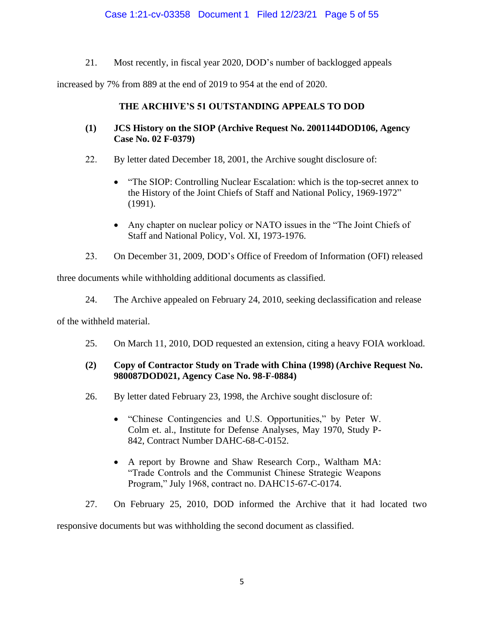# Case 1:21-cv-03358 Document 1 Filed 12/23/21 Page 5 of 55

21. Most recently, in fiscal year 2020, DOD's number of backlogged appeals

increased by 7% from 889 at the end of 2019 to 954 at the end of 2020.

# **THE ARCHIVE'S 51 OUTSTANDING APPEALS TO DOD**

- **(1) JCS History on the SIOP (Archive Request No. 2001144DOD106, Agency Case No. 02 F-0379)**
- 22. By letter dated December 18, 2001, the Archive sought disclosure of:
	- "The SIOP: Controlling Nuclear Escalation: which is the top-secret annex to the History of the Joint Chiefs of Staff and National Policy, 1969-1972" (1991).
	- Any chapter on nuclear policy or NATO issues in the "The Joint Chiefs of Staff and National Policy, Vol. XI, 1973-1976.
- 23. On December 31, 2009, DOD's Office of Freedom of Information (OFI) released

three documents while withholding additional documents as classified.

24. The Archive appealed on February 24, 2010, seeking declassification and release

of the withheld material.

25. On March 11, 2010, DOD requested an extension, citing a heavy FOIA workload.

# **(2) Copy of Contractor Study on Trade with China (1998) (Archive Request No. 980087DOD021, Agency Case No. 98-F-0884)**

- 26. By letter dated February 23, 1998, the Archive sought disclosure of:
	- "Chinese Contingencies and U.S. Opportunities," by Peter W. Colm et. al., Institute for Defense Analyses, May 1970, Study P-842, Contract Number DAHC-68-C-0152.
	- A report by Browne and Shaw Research Corp., Waltham MA: "Trade Controls and the Communist Chinese Strategic Weapons Program," July 1968, contract no. DAHC15-67-C-0174.
- 27. On February 25, 2010, DOD informed the Archive that it had located two

responsive documents but was withholding the second document as classified.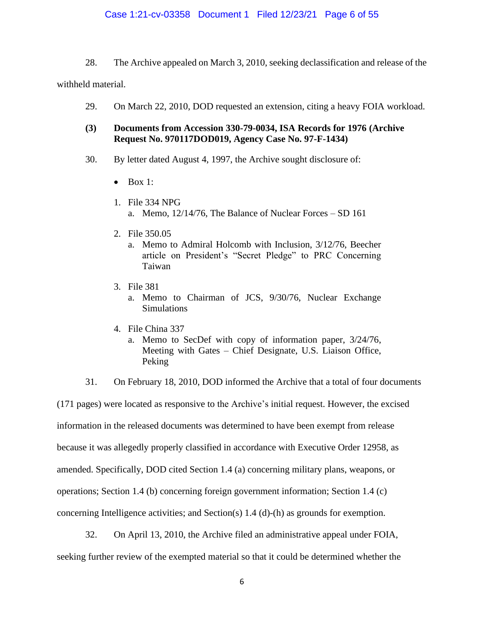#### Case 1:21-cv-03358 Document 1 Filed 12/23/21 Page 6 of 55

28. The Archive appealed on March 3, 2010, seeking declassification and release of the

withheld material.

29. On March 22, 2010, DOD requested an extension, citing a heavy FOIA workload.

## **(3) Documents from Accession 330-79-0034, ISA Records for 1976 (Archive Request No. 970117DOD019, Agency Case No. 97-F-1434)**

- 30. By letter dated August 4, 1997, the Archive sought disclosure of:
	- $\bullet$  Box 1:
	- 1. File 334 NPG a. Memo, 12/14/76, The Balance of Nuclear Forces – SD 161
	- 2. File 350.05
		- a. Memo to Admiral Holcomb with Inclusion, 3/12/76, Beecher article on President's "Secret Pledge" to PRC Concerning Taiwan
	- 3. File 381
		- a. Memo to Chairman of JCS, 9/30/76, Nuclear Exchange Simulations
	- 4. File China 337
		- a. Memo to SecDef with copy of information paper, 3/24/76, Meeting with Gates – Chief Designate, U.S. Liaison Office, Peking

31. On February 18, 2010, DOD informed the Archive that a total of four documents (171 pages) were located as responsive to the Archive's initial request. However, the excised information in the released documents was determined to have been exempt from release because it was allegedly properly classified in accordance with Executive Order 12958, as amended. Specifically, DOD cited Section 1.4 (a) concerning military plans, weapons, or operations; Section 1.4 (b) concerning foreign government information; Section 1.4 (c) concerning Intelligence activities; and Section(s)  $1.4$  (d)-(h) as grounds for exemption.

32. On April 13, 2010, the Archive filed an administrative appeal under FOIA, seeking further review of the exempted material so that it could be determined whether the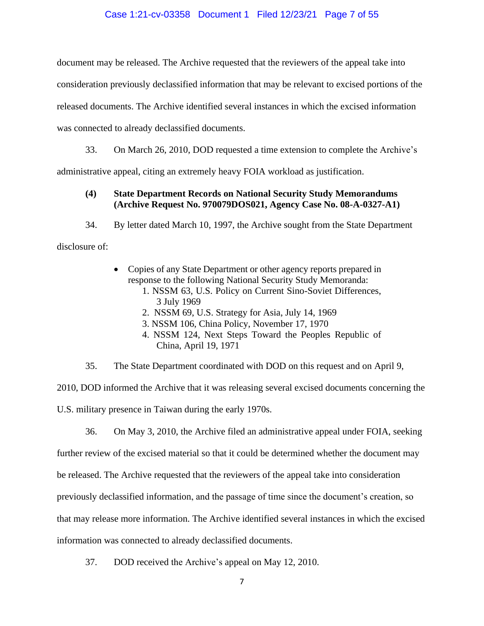### Case 1:21-cv-03358 Document 1 Filed 12/23/21 Page 7 of 55

document may be released. The Archive requested that the reviewers of the appeal take into

consideration previously declassified information that may be relevant to excised portions of the

released documents. The Archive identified several instances in which the excised information

was connected to already declassified documents.

33. On March 26, 2010, DOD requested a time extension to complete the Archive's

administrative appeal, citing an extremely heavy FOIA workload as justification.

## **(4) State Department Records on National Security Study Memorandums (Archive Request No. 970079DOS021, Agency Case No. 08-A-0327-A1)**

34. By letter dated March 10, 1997, the Archive sought from the State Department

disclosure of:

- Copies of any State Department or other agency reports prepared in response to the following National Security Study Memoranda:
	- 1. NSSM 63, U.S. Policy on Current Sino-Soviet Differences, 3 July 1969
	- 2. NSSM 69, U.S. Strategy for Asia, July 14, 1969
	- 3. NSSM 106, China Policy, November 17, 1970
	- 4. NSSM 124, Next Steps Toward the Peoples Republic of China, April 19, 1971
- 35. The State Department coordinated with DOD on this request and on April 9,

2010, DOD informed the Archive that it was releasing several excised documents concerning the

U.S. military presence in Taiwan during the early 1970s.

36. On May 3, 2010, the Archive filed an administrative appeal under FOIA, seeking

further review of the excised material so that it could be determined whether the document may

be released. The Archive requested that the reviewers of the appeal take into consideration

previously declassified information, and the passage of time since the document's creation, so

that may release more information. The Archive identified several instances in which the excised

information was connected to already declassified documents.

37. DOD received the Archive's appeal on May 12, 2010.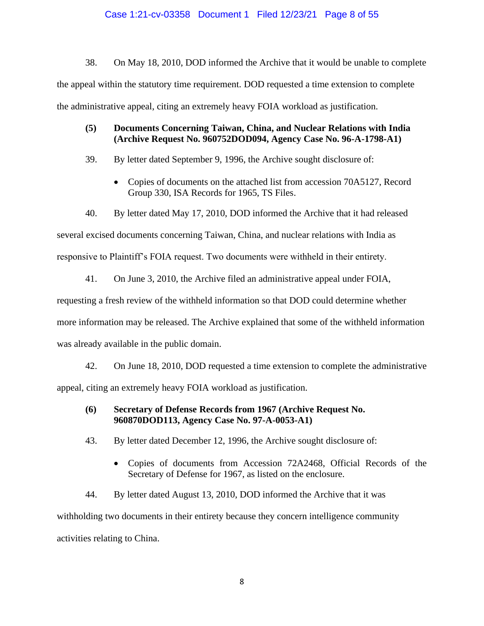38. On May 18, 2010, DOD informed the Archive that it would be unable to complete the appeal within the statutory time requirement. DOD requested a time extension to complete the administrative appeal, citing an extremely heavy FOIA workload as justification.

# **(5) Documents Concerning Taiwan, China, and Nuclear Relations with India (Archive Request No. 960752DOD094, Agency Case No. 96-A-1798-A1)**

- 39. By letter dated September 9, 1996, the Archive sought disclosure of:
	- Copies of documents on the attached list from accession 70A5127, Record Group 330, ISA Records for 1965, TS Files.
- 40. By letter dated May 17, 2010, DOD informed the Archive that it had released

several excised documents concerning Taiwan, China, and nuclear relations with India as

responsive to Plaintiff's FOIA request. Two documents were withheld in their entirety.

41. On June 3, 2010, the Archive filed an administrative appeal under FOIA,

requesting a fresh review of the withheld information so that DOD could determine whether

more information may be released. The Archive explained that some of the withheld information

was already available in the public domain.

42. On June 18, 2010, DOD requested a time extension to complete the administrative appeal, citing an extremely heavy FOIA workload as justification.

# **(6) Secretary of Defense Records from 1967 (Archive Request No. 960870DOD113, Agency Case No. 97-A-0053-A1)**

- 43. By letter dated December 12, 1996, the Archive sought disclosure of:
	- Copies of documents from Accession 72A2468, Official Records of the Secretary of Defense for 1967, as listed on the enclosure.

44. By letter dated August 13, 2010, DOD informed the Archive that it was withholding two documents in their entirety because they concern intelligence community activities relating to China.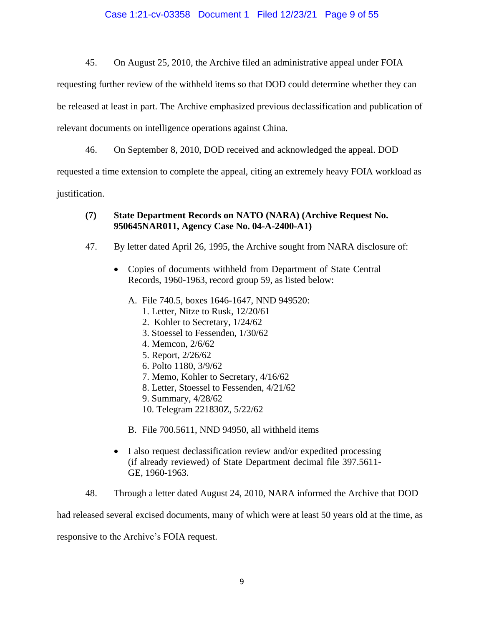45. On August 25, 2010, the Archive filed an administrative appeal under FOIA

requesting further review of the withheld items so that DOD could determine whether they can

be released at least in part. The Archive emphasized previous declassification and publication of

relevant documents on intelligence operations against China.

46. On September 8, 2010, DOD received and acknowledged the appeal. DOD

requested a time extension to complete the appeal, citing an extremely heavy FOIA workload as

justification.

# **(7) State Department Records on NATO (NARA) (Archive Request No. 950645NAR011, Agency Case No. 04-A-2400-A1)**

- 47. By letter dated April 26, 1995, the Archive sought from NARA disclosure of:
	- Copies of documents withheld from Department of State Central Records, 1960-1963, record group 59, as listed below:
		- A. File 740.5, boxes 1646-1647, NND 949520:
			- 1. Letter, Nitze to Rusk, 12/20/61
			- 2. Kohler to Secretary, 1/24/62
			- 3. Stoessel to Fessenden, 1/30/62
			- 4. Memcon, 2/6/62
			- 5. Report, 2/26/62
			- 6. Polto 1180, 3/9/62
			- 7. Memo, Kohler to Secretary, 4/16/62
			- 8. Letter, Stoessel to Fessenden, 4/21/62
			- 9. Summary, 4/28/62
			- 10. Telegram 221830Z, 5/22/62
		- B. File 700.5611, NND 94950, all withheld items
	- I also request declassification review and/or expedited processing (if already reviewed) of State Department decimal file 397.5611- GE, 1960-1963.
- 48. Through a letter dated August 24, 2010, NARA informed the Archive that DOD

had released several excised documents, many of which were at least 50 years old at the time, as

responsive to the Archive's FOIA request.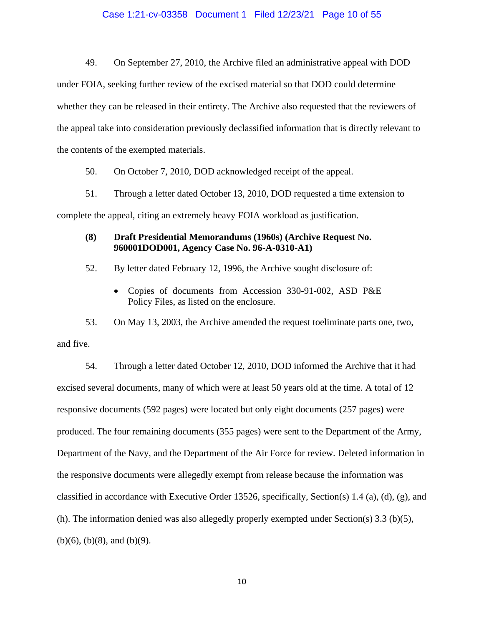#### Case 1:21-cv-03358 Document 1 Filed 12/23/21 Page 10 of 55

49. On September 27, 2010, the Archive filed an administrative appeal with DOD under FOIA, seeking further review of the excised material so that DOD could determine whether they can be released in their entirety. The Archive also requested that the reviewers of the appeal take into consideration previously declassified information that is directly relevant to the contents of the exempted materials.

50. On October 7, 2010, DOD acknowledged receipt of the appeal.

51. Through a letter dated October 13, 2010, DOD requested a time extension to complete the appeal, citing an extremely heavy FOIA workload as justification.

## **(8) Draft Presidential Memorandums (1960s) (Archive Request No. 960001DOD001, Agency Case No. 96-A-0310-A1)**

52. By letter dated February 12, 1996, the Archive sought disclosure of:

• Copies of documents from Accession 330-91-002, ASD P&E Policy Files, as listed on the enclosure.

53. On May 13, 2003, the Archive amended the request toeliminate parts one, two, and five.

54. Through a letter dated October 12, 2010, DOD informed the Archive that it had excised several documents, many of which were at least 50 years old at the time. A total of 12 responsive documents (592 pages) were located but only eight documents (257 pages) were produced. The four remaining documents (355 pages) were sent to the Department of the Army, Department of the Navy, and the Department of the Air Force for review. Deleted information in the responsive documents were allegedly exempt from release because the information was classified in accordance with Executive Order 13526, specifically, Section(s) 1.4 (a), (d), (g), and (h). The information denied was also allegedly properly exempted under Section(s) 3.3 (b)(5), (b)(6), (b)(8), and (b)(9).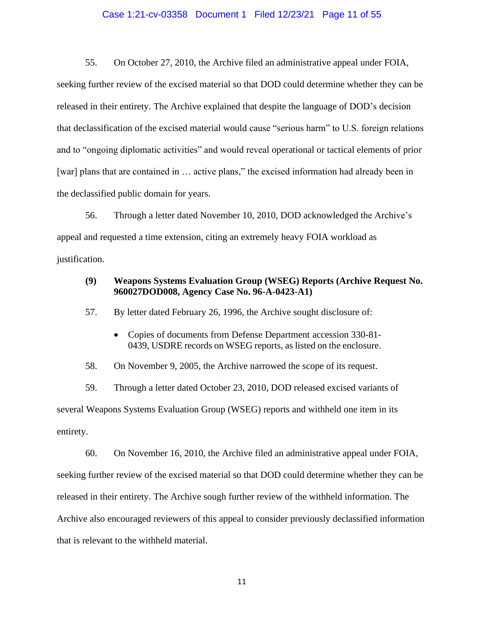#### Case 1:21-cv-03358 Document 1 Filed 12/23/21 Page 11 of 55

55. On October 27, 2010, the Archive filed an administrative appeal under FOIA,

seeking further review of the excised material so that DOD could determine whether they can be released in their entirety. The Archive explained that despite the language of DOD's decision that declassification of the excised material would cause "serious harm" to U.S. foreign relations and to "ongoing diplomatic activities" and would reveal operational or tactical elements of prior [war] plans that are contained in ... active plans," the excised information had already been in the declassified public domain for years.

56. Through a letter dated November 10, 2010, DOD acknowledged the Archive's appeal and requested a time extension, citing an extremely heavy FOIA workload as justification.

### **(9) Weapons Systems Evaluation Group (WSEG) Reports (Archive Request No. 960027DOD008, Agency Case No. 96-A-0423-A1)**

57. By letter dated February 26, 1996, the Archive sought disclosure of:

• Copies of documents from Defense Department accession 330-81- 0439, USDRE records on WSEG reports, as listed on the enclosure.

58. On November 9, 2005, the Archive narrowed the scope of its request.

59. Through a letter dated October 23, 2010, DOD released excised variants of several Weapons Systems Evaluation Group (WSEG) reports and withheld one item in its entirety.

60. On November 16, 2010, the Archive filed an administrative appeal under FOIA, seeking further review of the excised material so that DOD could determine whether they can be released in their entirety. The Archive sough further review of the withheld information. The Archive also encouraged reviewers of this appeal to consider previously declassified information that is relevant to the withheld material.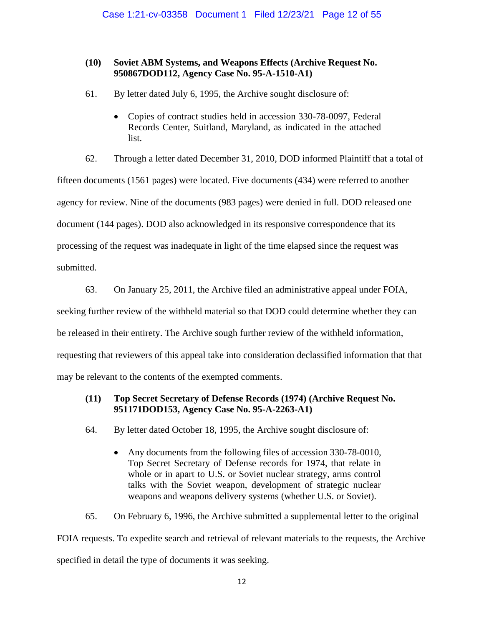# **(10) Soviet ABM Systems, and Weapons Effects (Archive Request No. 950867DOD112, Agency Case No. 95-A-1510-A1)**

- 61. By letter dated July 6, 1995, the Archive sought disclosure of:
	- Copies of contract studies held in accession 330-78-0097, Federal Records Center, Suitland, Maryland, as indicated in the attached list.

62. Through a letter dated December 31, 2010, DOD informed Plaintiff that a total of

fifteen documents (1561 pages) were located. Five documents (434) were referred to another

agency for review. Nine of the documents (983 pages) were denied in full. DOD released one

document (144 pages). DOD also acknowledged in its responsive correspondence that its

processing of the request was inadequate in light of the time elapsed since the request was

submitted.

63. On January 25, 2011, the Archive filed an administrative appeal under FOIA,

seeking further review of the withheld material so that DOD could determine whether they can

be released in their entirety. The Archive sough further review of the withheld information,

requesting that reviewers of this appeal take into consideration declassified information that that

may be relevant to the contents of the exempted comments.

# **(11) Top Secret Secretary of Defense Records (1974) (Archive Request No. 951171DOD153, Agency Case No. 95-A-2263-A1)**

- 64. By letter dated October 18, 1995, the Archive sought disclosure of:
	- Any documents from the following files of accession 330-78-0010, Top Secret Secretary of Defense records for 1974, that relate in whole or in apart to U.S. or Soviet nuclear strategy, arms control talks with the Soviet weapon, development of strategic nuclear weapons and weapons delivery systems (whether U.S. or Soviet).

65. On February 6, 1996, the Archive submitted a supplemental letter to the original

FOIA requests. To expedite search and retrieval of relevant materials to the requests, the Archive specified in detail the type of documents it was seeking.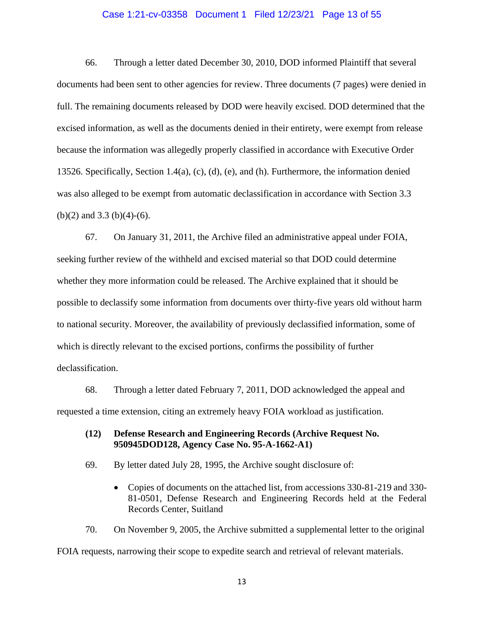#### Case 1:21-cv-03358 Document 1 Filed 12/23/21 Page 13 of 55

66. Through a letter dated December 30, 2010, DOD informed Plaintiff that several documents had been sent to other agencies for review. Three documents (7 pages) were denied in full. The remaining documents released by DOD were heavily excised. DOD determined that the excised information, as well as the documents denied in their entirety, were exempt from release because the information was allegedly properly classified in accordance with Executive Order 13526. Specifically, Section 1.4(a), (c), (d), (e), and (h). Furthermore, the information denied was also alleged to be exempt from automatic declassification in accordance with Section 3.3 (b)(2) and 3.3 (b)(4)-(6).

67. On January 31, 2011, the Archive filed an administrative appeal under FOIA, seeking further review of the withheld and excised material so that DOD could determine whether they more information could be released. The Archive explained that it should be possible to declassify some information from documents over thirty-five years old without harm to national security. Moreover, the availability of previously declassified information, some of which is directly relevant to the excised portions, confirms the possibility of further declassification.

68. Through a letter dated February 7, 2011, DOD acknowledged the appeal and requested a time extension, citing an extremely heavy FOIA workload as justification.

### **(12) Defense Research and Engineering Records (Archive Request No. 950945DOD128, Agency Case No. 95-A-1662-A1)**

69. By letter dated July 28, 1995, the Archive sought disclosure of:

• Copies of documents on the attached list, from accessions 330-81-219 and 330-81-0501, Defense Research and Engineering Records held at the Federal Records Center, Suitland

70. On November 9, 2005, the Archive submitted a supplemental letter to the original FOIA requests, narrowing their scope to expedite search and retrieval of relevant materials.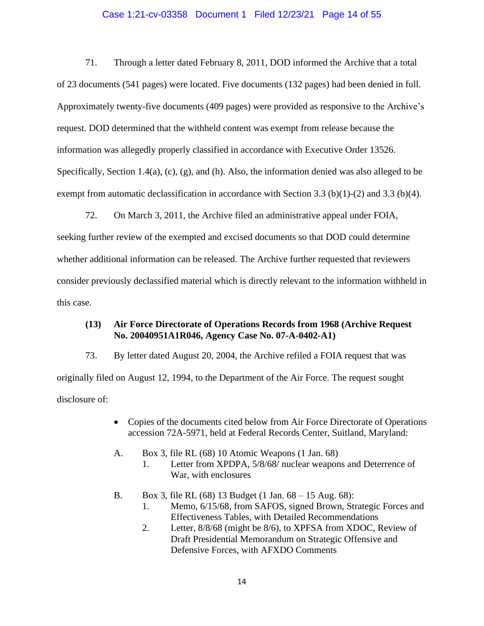### Case 1:21-cv-03358 Document 1 Filed 12/23/21 Page 14 of 55

71. Through a letter dated February 8, 2011, DOD informed the Archive that a total of 23 documents (541 pages) were located. Five documents (132 pages) had been denied in full. Approximately twenty-five documents (409 pages) were provided as responsive to the Archive's request. DOD determined that the withheld content was exempt from release because the information was allegedly properly classified in accordance with Executive Order 13526. Specifically, Section 1.4(a), (c), (g), and (h). Also, the information denied was also alleged to be exempt from automatic declassification in accordance with Section 3.3 (b)(1)-(2) and 3.3 (b)(4).

72. On March 3, 2011, the Archive filed an administrative appeal under FOIA, seeking further review of the exempted and excised documents so that DOD could determine whether additional information can be released. The Archive further requested that reviewers consider previously declassified material which is directly relevant to the information withheld in this case.

### **(13) Air Force Directorate of Operations Records from 1968 (Archive Request No. 20040951A1R046, Agency Case No. 07-A-0402-A1)**

73. By letter dated August 20, 2004, the Archive refiled a FOIA request that was originally filed on August 12, 1994, to the Department of the Air Force. The request sought disclosure of:

- Copies of the documents cited below from Air Force Directorate of Operations accession 72A-5971, held at Federal Records Center, Suitland, Maryland:
- A. Box 3, file RL (68) 10 Atomic Weapons (1 Jan. 68)
	- 1. Letter from XPDPA, 5/8/68/ nuclear weapons and Deterrence of War, with enclosures
- B. Box 3, file RL (68) 13 Budget (1 Jan. 68 15 Aug. 68):
	- 1. Memo, 6/15/68, from SAFOS, signed Brown, Strategic Forces and Effectiveness Tables, with Detailed Recommendations
	- 2. Letter, 8/8/68 (might be 8/6), to XPFSA from XDOC, Review of Draft Presidential Memorandum on Strategic Offensive and Defensive Forces, with AFXDO Comments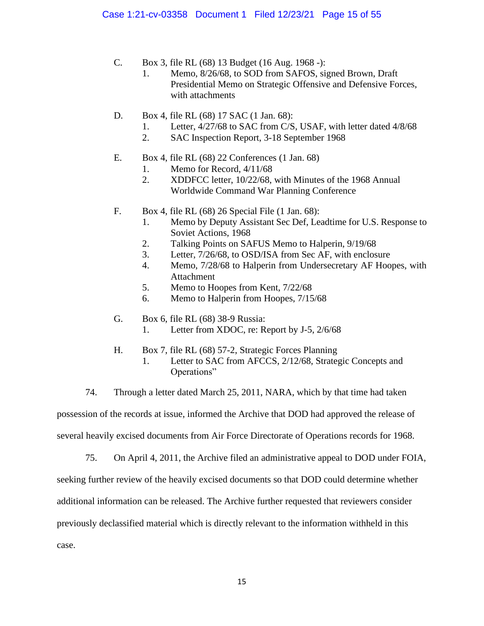- C. Box 3, file RL (68) 13 Budget (16 Aug. 1968 -):
	- 1. Memo, 8/26/68, to SOD from SAFOS, signed Brown, Draft Presidential Memo on Strategic Offensive and Defensive Forces, with attachments
- D. Box 4, file RL (68) 17 SAC (1 Jan. 68):
	- 1. Letter, 4/27/68 to SAC from C/S, USAF, with letter dated 4/8/68
	- 2. SAC Inspection Report, 3-18 September 1968
- E. Box 4, file RL (68) 22 Conferences (1 Jan. 68)
	- 1. Memo for Record, 4/11/68
	- 2. XDDFCC letter, 10/22/68, with Minutes of the 1968 Annual Worldwide Command War Planning Conference
- F. Box 4, file RL (68) 26 Special File (1 Jan. 68):
	- 1. Memo by Deputy Assistant Sec Def, Leadtime for U.S. Response to Soviet Actions, 1968
	- 2. Talking Points on SAFUS Memo to Halperin, 9/19/68
	- 3. Letter, 7/26/68, to OSD/ISA from Sec AF, with enclosure
	- 4. Memo, 7/28/68 to Halperin from Undersecretary AF Hoopes, with Attachment
	- 5. Memo to Hoopes from Kent, 7/22/68
	- 6. Memo to Halperin from Hoopes, 7/15/68
- G. Box 6, file RL (68) 38-9 Russia:
	- 1. Letter from XDOC, re: Report by J-5, 2/6/68
- H. Box 7, file RL (68) 57-2, Strategic Forces Planning
	- 1. Letter to SAC from AFCCS, 2/12/68, Strategic Concepts and Operations"
- 74. Through a letter dated March 25, 2011, NARA, which by that time had taken

possession of the records at issue, informed the Archive that DOD had approved the release of

several heavily excised documents from Air Force Directorate of Operations records for 1968.

75. On April 4, 2011, the Archive filed an administrative appeal to DOD under FOIA,

seeking further review of the heavily excised documents so that DOD could determine whether

additional information can be released. The Archive further requested that reviewers consider

previously declassified material which is directly relevant to the information withheld in this

case.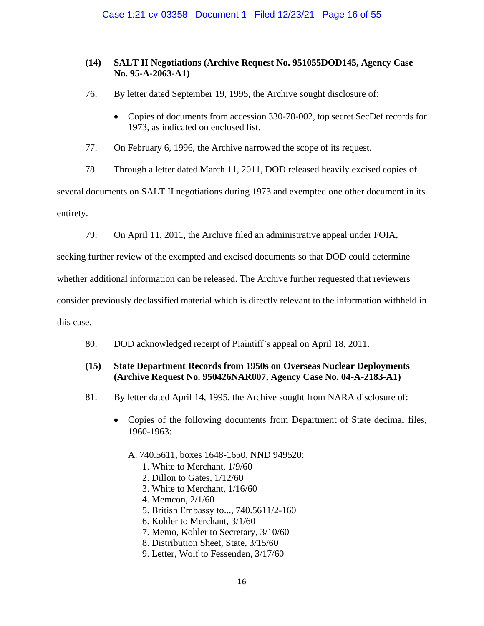# **(14) SALT II Negotiations (Archive Request No. 951055DOD145, Agency Case No. 95-A-2063-A1)**

- 76. By letter dated September 19, 1995, the Archive sought disclosure of:
	- Copies of documents from accession 330-78-002, top secret SecDef records for 1973, as indicated on enclosed list.

77. On February 6, 1996, the Archive narrowed the scope of its request.

78. Through a letter dated March 11, 2011, DOD released heavily excised copies of several documents on SALT II negotiations during 1973 and exempted one other document in its entirety.

79. On April 11, 2011, the Archive filed an administrative appeal under FOIA,

seeking further review of the exempted and excised documents so that DOD could determine

whether additional information can be released. The Archive further requested that reviewers

consider previously declassified material which is directly relevant to the information withheld in

this case.

80. DOD acknowledged receipt of Plaintiff's appeal on April 18, 2011.

# **(15) State Department Records from 1950s on Overseas Nuclear Deployments (Archive Request No. 950426NAR007, Agency Case No. 04-A-2183-A1)**

- 81. By letter dated April 14, 1995, the Archive sought from NARA disclosure of:
	- Copies of the following documents from Department of State decimal files, 1960-1963:
		- A. 740.5611, boxes 1648-1650, NND 949520:
			- 1. White to Merchant, 1/9/60
			- 2. Dillon to Gates, 1/12/60
			- 3. White to Merchant, 1/16/60
			- 4. Memcon, 2/1/60
			- 5. British Embassy to..., 740.5611/2-160
			- 6. Kohler to Merchant, 3/1/60
			- 7. Memo, Kohler to Secretary, 3/10/60
			- 8. Distribution Sheet, State, 3/15/60
			- 9. Letter, Wolf to Fessenden, 3/17/60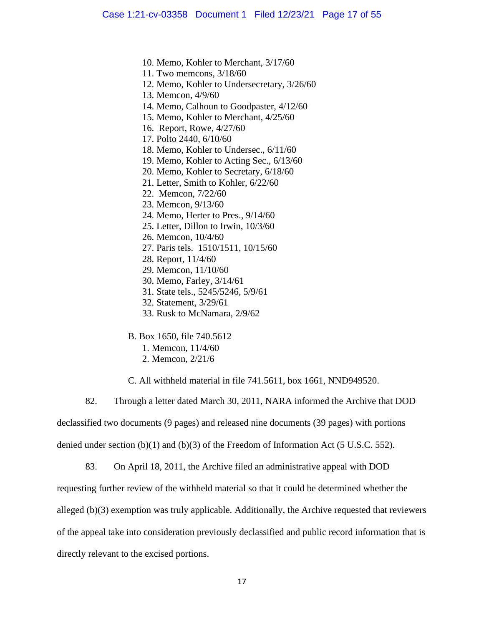10. Memo, Kohler to Merchant, 3/17/60

11. Two memcons, 3/18/60

12. Memo, Kohler to Undersecretary, 3/26/60

13. Memcon, 4/9/60

14. Memo, Calhoun to Goodpaster, 4/12/60

15. Memo, Kohler to Merchant, 4/25/60

16. Report, Rowe, 4/27/60

17. Polto 2440, 6/10/60

18. Memo, Kohler to Undersec., 6/11/60

19. Memo, Kohler to Acting Sec., 6/13/60

20. Memo, Kohler to Secretary, 6/18/60

21. Letter, Smith to Kohler, 6/22/60

22. Memcon, 7/22/60

23. Memcon, 9/13/60

24. Memo, Herter to Pres., 9/14/60

25. Letter, Dillon to Irwin, 10/3/60

26. Memcon, 10/4/60

27. Paris tels. 1510/1511, 10/15/60

28. Report, 11/4/60

29. Memcon, 11/10/60

30. Memo, Farley, 3/14/61

31. State tels., 5245/5246, 5/9/61

32. Statement, 3/29/61

33. Rusk to McNamara, 2/9/62

B. Box 1650, file 740.5612

1. Memcon, 11/4/60

2. Memcon, 2/21/6

C. All withheld material in file 741.5611, box 1661, NND949520.

82. Through a letter dated March 30, 2011, NARA informed the Archive that DOD

declassified two documents (9 pages) and released nine documents (39 pages) with portions

denied under section (b)(1) and (b)(3) of the Freedom of Information Act (5 U.S.C. 552).

83. On April 18, 2011, the Archive filed an administrative appeal with DOD

requesting further review of the withheld material so that it could be determined whether the

alleged  $(b)(3)$  exemption was truly applicable. Additionally, the Archive requested that reviewers

of the appeal take into consideration previously declassified and public record information that is

directly relevant to the excised portions.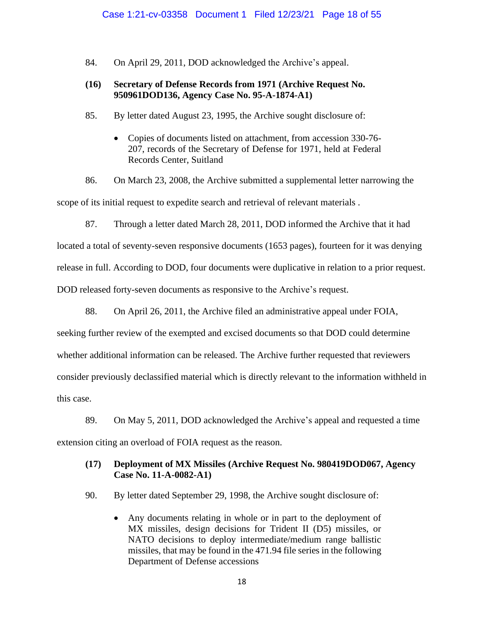84. On April 29, 2011, DOD acknowledged the Archive's appeal.

## **(16) Secretary of Defense Records from 1971 (Archive Request No. 950961DOD136, Agency Case No. 95-A-1874-A1)**

85. By letter dated August 23, 1995, the Archive sought disclosure of:

• Copies of documents listed on attachment, from accession 330-76- 207, records of the Secretary of Defense for 1971, held at Federal Records Center, Suitland

86. On March 23, 2008, the Archive submitted a supplemental letter narrowing the scope of its initial request to expedite search and retrieval of relevant materials .

87. Through a letter dated March 28, 2011, DOD informed the Archive that it had located a total of seventy-seven responsive documents (1653 pages), fourteen for it was denying release in full. According to DOD, four documents were duplicative in relation to a prior request. DOD released forty-seven documents as responsive to the Archive's request.

88. On April 26, 2011, the Archive filed an administrative appeal under FOIA, seeking further review of the exempted and excised documents so that DOD could determine whether additional information can be released. The Archive further requested that reviewers consider previously declassified material which is directly relevant to the information withheld in this case.

89. On May 5, 2011, DOD acknowledged the Archive's appeal and requested a time extension citing an overload of FOIA request as the reason.

# **(17) Deployment of MX Missiles (Archive Request No. 980419DOD067, Agency Case No. 11-A-0082-A1)**

90. By letter dated September 29, 1998, the Archive sought disclosure of:

• Any documents relating in whole or in part to the deployment of MX missiles, design decisions for Trident II (D5) missiles, or NATO decisions to deploy intermediate/medium range ballistic missiles, that may be found in the 471.94 file series in the following Department of Defense accessions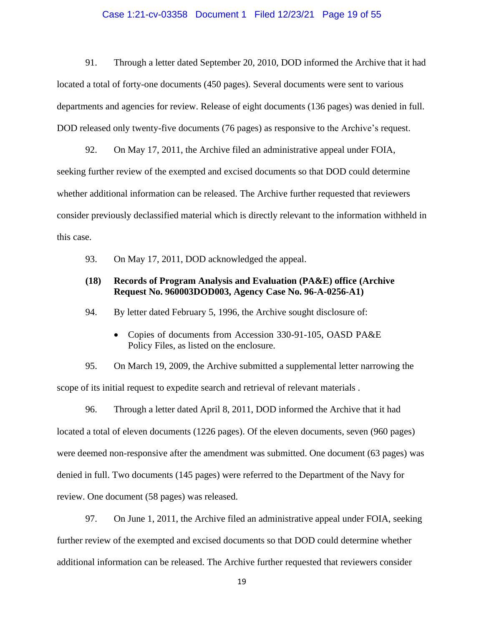#### Case 1:21-cv-03358 Document 1 Filed 12/23/21 Page 19 of 55

91. Through a letter dated September 20, 2010, DOD informed the Archive that it had located a total of forty-one documents (450 pages). Several documents were sent to various departments and agencies for review. Release of eight documents (136 pages) was denied in full. DOD released only twenty-five documents (76 pages) as responsive to the Archive's request.

92. On May 17, 2011, the Archive filed an administrative appeal under FOIA, seeking further review of the exempted and excised documents so that DOD could determine whether additional information can be released. The Archive further requested that reviewers consider previously declassified material which is directly relevant to the information withheld in this case.

93. On May 17, 2011, DOD acknowledged the appeal.

### **(18) Records of Program Analysis and Evaluation (PA&E) office (Archive Request No. 960003DOD003, Agency Case No. 96-A-0256-A1)**

94. By letter dated February 5, 1996, the Archive sought disclosure of:

• Copies of documents from Accession 330-91-105, OASD PA&E Policy Files, as listed on the enclosure.

95. On March 19, 2009, the Archive submitted a supplemental letter narrowing the scope of its initial request to expedite search and retrieval of relevant materials .

96. Through a letter dated April 8, 2011, DOD informed the Archive that it had located a total of eleven documents (1226 pages). Of the eleven documents, seven (960 pages) were deemed non-responsive after the amendment was submitted. One document (63 pages) was denied in full. Two documents (145 pages) were referred to the Department of the Navy for review. One document (58 pages) was released.

97. On June 1, 2011, the Archive filed an administrative appeal under FOIA, seeking further review of the exempted and excised documents so that DOD could determine whether additional information can be released. The Archive further requested that reviewers consider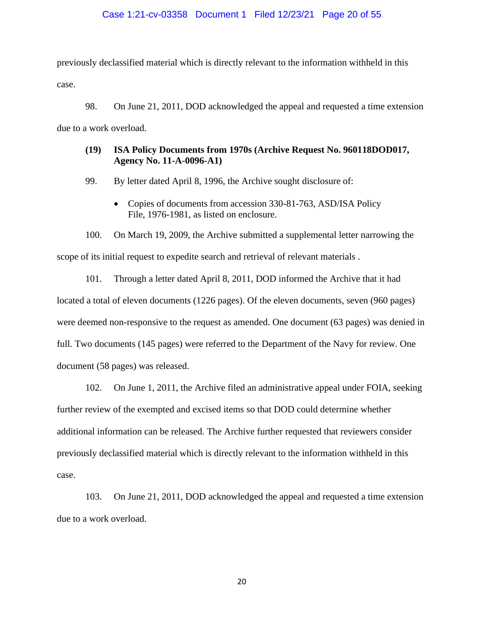#### Case 1:21-cv-03358 Document 1 Filed 12/23/21 Page 20 of 55

previously declassified material which is directly relevant to the information withheld in this case.

98. On June 21, 2011, DOD acknowledged the appeal and requested a time extension due to a work overload.

## **(19) ISA Policy Documents from 1970s (Archive Request No. 960118DOD017, Agency No. 11-A-0096-A1)**

99. By letter dated April 8, 1996, the Archive sought disclosure of:

• Copies of documents from accession 330-81-763, ASD/ISA Policy File, 1976-1981, as listed on enclosure.

100. On March 19, 2009, the Archive submitted a supplemental letter narrowing the scope of its initial request to expedite search and retrieval of relevant materials .

101. Through a letter dated April 8, 2011, DOD informed the Archive that it had located a total of eleven documents (1226 pages). Of the eleven documents, seven (960 pages) were deemed non-responsive to the request as amended. One document (63 pages) was denied in full. Two documents (145 pages) were referred to the Department of the Navy for review. One document (58 pages) was released.

102. On June 1, 2011, the Archive filed an administrative appeal under FOIA, seeking further review of the exempted and excised items so that DOD could determine whether additional information can be released. The Archive further requested that reviewers consider previously declassified material which is directly relevant to the information withheld in this case.

103. On June 21, 2011, DOD acknowledged the appeal and requested a time extension due to a work overload.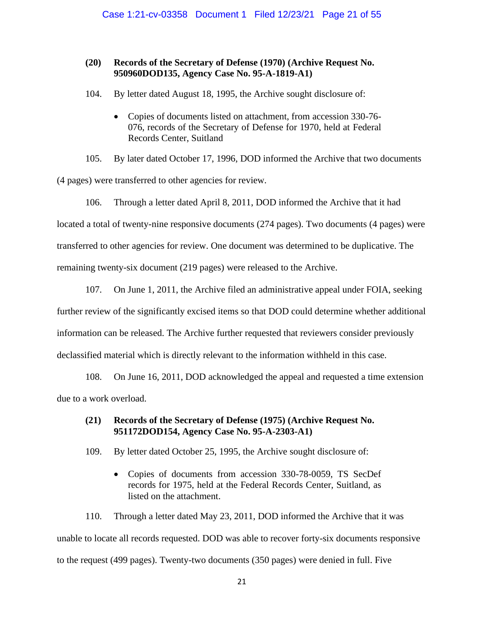## **(20) Records of the Secretary of Defense (1970) (Archive Request No. 950960DOD135, Agency Case No. 95-A-1819-A1)**

104. By letter dated August 18, 1995, the Archive sought disclosure of:

• Copies of documents listed on attachment, from accession 330-76- 076, records of the Secretary of Defense for 1970, held at Federal Records Center, Suitland

105. By later dated October 17, 1996, DOD informed the Archive that two documents (4 pages) were transferred to other agencies for review.

106. Through a letter dated April 8, 2011, DOD informed the Archive that it had located a total of twenty-nine responsive documents (274 pages). Two documents (4 pages) were transferred to other agencies for review. One document was determined to be duplicative. The remaining twenty-six document (219 pages) were released to the Archive.

107. On June 1, 2011, the Archive filed an administrative appeal under FOIA, seeking further review of the significantly excised items so that DOD could determine whether additional information can be released. The Archive further requested that reviewers consider previously declassified material which is directly relevant to the information withheld in this case.

108. On June 16, 2011, DOD acknowledged the appeal and requested a time extension due to a work overload.

# **(21) Records of the Secretary of Defense (1975) (Archive Request No. 951172DOD154, Agency Case No. 95-A-2303-A1)**

- 109. By letter dated October 25, 1995, the Archive sought disclosure of:
	- Copies of documents from accession 330-78-0059, TS SecDef records for 1975, held at the Federal Records Center, Suitland, as listed on the attachment.

110. Through a letter dated May 23, 2011, DOD informed the Archive that it was unable to locate all records requested. DOD was able to recover forty-six documents responsive to the request (499 pages). Twenty-two documents (350 pages) were denied in full. Five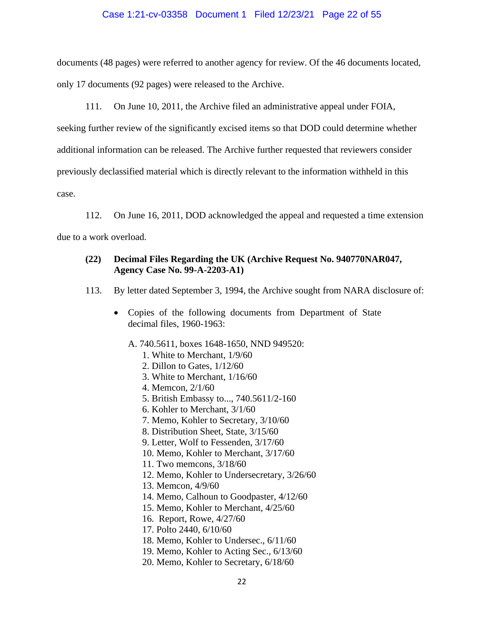### Case 1:21-cv-03358 Document 1 Filed 12/23/21 Page 22 of 55

documents (48 pages) were referred to another agency for review. Of the 46 documents located, only 17 documents (92 pages) were released to the Archive.

111. On June 10, 2011, the Archive filed an administrative appeal under FOIA,

seeking further review of the significantly excised items so that DOD could determine whether

additional information can be released. The Archive further requested that reviewers consider

previously declassified material which is directly relevant to the information withheld in this

case.

112. On June 16, 2011, DOD acknowledged the appeal and requested a time extension

due to a work overload.

# **(22) Decimal Files Regarding the UK (Archive Request No. 940770NAR047, Agency Case No. 99-A-2203-A1)**

- 113. By letter dated September 3, 1994, the Archive sought from NARA disclosure of:
	- Copies of the following documents from Department of State decimal files, 1960-1963:
		- A. 740.5611, boxes 1648-1650, NND 949520:
			- 1. White to Merchant, 1/9/60
			- 2. Dillon to Gates, 1/12/60
			- 3. White to Merchant, 1/16/60
			- 4. Memcon, 2/1/60
			- 5. British Embassy to..., 740.5611/2-160
			- 6. Kohler to Merchant, 3/1/60
			- 7. Memo, Kohler to Secretary, 3/10/60
			- 8. Distribution Sheet, State, 3/15/60
			- 9. Letter, Wolf to Fessenden, 3/17/60
			- 10. Memo, Kohler to Merchant, 3/17/60
			- 11. Two memcons, 3/18/60
			- 12. Memo, Kohler to Undersecretary, 3/26/60
			- 13. Memcon, 4/9/60
			- 14. Memo, Calhoun to Goodpaster, 4/12/60
			- 15. Memo, Kohler to Merchant, 4/25/60
			- 16. Report, Rowe, 4/27/60
			- 17. Polto 2440, 6/10/60
			- 18. Memo, Kohler to Undersec., 6/11/60
			- 19. Memo, Kohler to Acting Sec., 6/13/60
			- 20. Memo, Kohler to Secretary, 6/18/60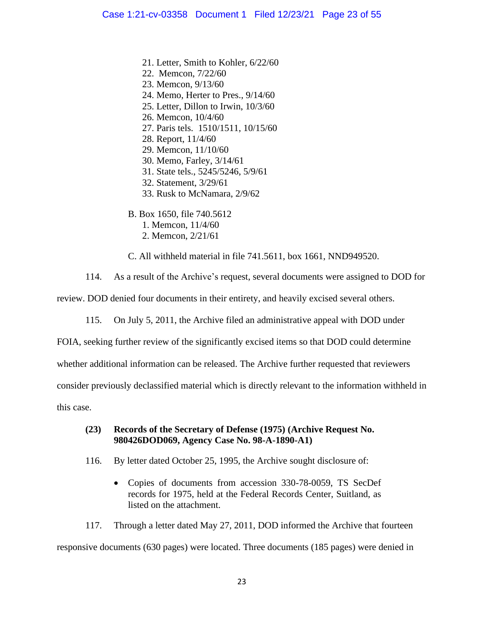- 21. Letter, Smith to Kohler, 6/22/60
- 22. Memcon, 7/22/60
- 23. Memcon, 9/13/60
- 24. Memo, Herter to Pres., 9/14/60
- 25. Letter, Dillon to Irwin, 10/3/60
- 26. Memcon, 10/4/60
- 27. Paris tels. 1510/1511, 10/15/60
- 28. Report, 11/4/60
- 29. Memcon, 11/10/60
- 30. Memo, Farley, 3/14/61
- 31. State tels., 5245/5246, 5/9/61
- 32. Statement, 3/29/61
- 33. Rusk to McNamara, 2/9/62
- B. Box 1650, file 740.5612
	- 1. Memcon, 11/4/60
	- 2. Memcon, 2/21/61

C. All withheld material in file 741.5611, box 1661, NND949520.

114. As a result of the Archive's request, several documents were assigned to DOD for

review. DOD denied four documents in their entirety, and heavily excised several others.

115. On July 5, 2011, the Archive filed an administrative appeal with DOD under

FOIA, seeking further review of the significantly excised items so that DOD could determine

whether additional information can be released. The Archive further requested that reviewers

consider previously declassified material which is directly relevant to the information withheld in

this case.

### **(23) Records of the Secretary of Defense (1975) (Archive Request No. 980426DOD069, Agency Case No. 98-A-1890-A1)**

- 116. By letter dated October 25, 1995, the Archive sought disclosure of:
	- Copies of documents from accession 330-78-0059, TS SecDef records for 1975, held at the Federal Records Center, Suitland, as listed on the attachment.

117. Through a letter dated May 27, 2011, DOD informed the Archive that fourteen responsive documents (630 pages) were located. Three documents (185 pages) were denied in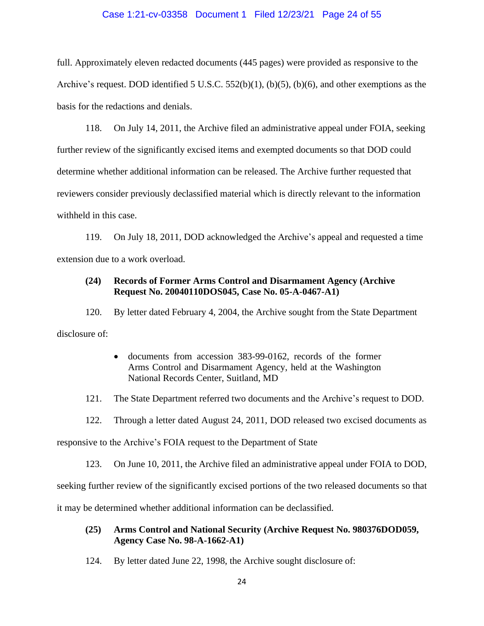#### Case 1:21-cv-03358 Document 1 Filed 12/23/21 Page 24 of 55

full. Approximately eleven redacted documents (445 pages) were provided as responsive to the Archive's request. DOD identified 5 U.S.C. 552(b)(1), (b)(5), (b)(6), and other exemptions as the basis for the redactions and denials.

118. On July 14, 2011, the Archive filed an administrative appeal under FOIA, seeking further review of the significantly excised items and exempted documents so that DOD could determine whether additional information can be released. The Archive further requested that reviewers consider previously declassified material which is directly relevant to the information withheld in this case.

119. On July 18, 2011, DOD acknowledged the Archive's appeal and requested a time extension due to a work overload.

### **(24) Records of Former Arms Control and Disarmament Agency (Archive Request No. 20040110DOS045, Case No. 05-A-0467-A1)**

120. By letter dated February 4, 2004, the Archive sought from the State Department disclosure of:

> • documents from accession 383-99-0162, records of the former Arms Control and Disarmament Agency, held at the Washington National Records Center, Suitland, MD

121. The State Department referred two documents and the Archive's request to DOD.

122. Through a letter dated August 24, 2011, DOD released two excised documents as

responsive to the Archive's FOIA request to the Department of State

123. On June 10, 2011, the Archive filed an administrative appeal under FOIA to DOD,

seeking further review of the significantly excised portions of the two released documents so that

it may be determined whether additional information can be declassified.

## **(25) Arms Control and National Security (Archive Request No. 980376DOD059, Agency Case No. 98-A-1662-A1)**

124. By letter dated June 22, 1998, the Archive sought disclosure of: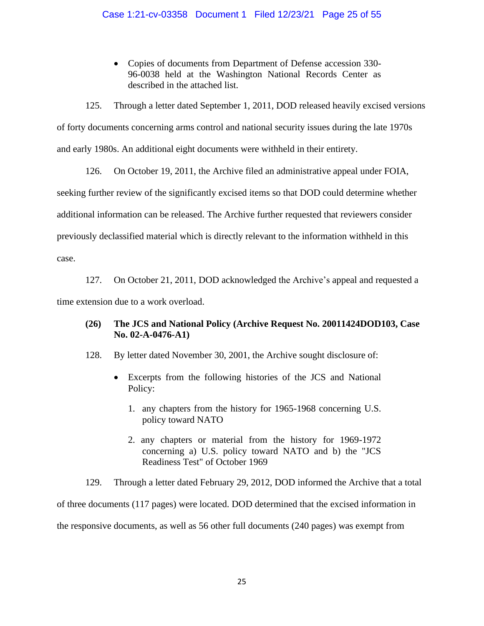## Case 1:21-cv-03358 Document 1 Filed 12/23/21 Page 25 of 55

• Copies of documents from Department of Defense accession 330- 96-0038 held at the Washington National Records Center as described in the attached list.

125. Through a letter dated September 1, 2011, DOD released heavily excised versions of forty documents concerning arms control and national security issues during the late 1970s and early 1980s. An additional eight documents were withheld in their entirety.

126. On October 19, 2011, the Archive filed an administrative appeal under FOIA, seeking further review of the significantly excised items so that DOD could determine whether additional information can be released. The Archive further requested that reviewers consider previously declassified material which is directly relevant to the information withheld in this case.

127. On October 21, 2011, DOD acknowledged the Archive's appeal and requested a time extension due to a work overload.

# **(26) The JCS and National Policy (Archive Request No. 20011424DOD103, Case No. 02-A-0476-A1)**

128. By letter dated November 30, 2001, the Archive sought disclosure of:

- Excerpts from the following histories of the JCS and National Policy:
	- 1. any chapters from the history for 1965-1968 concerning U.S. policy toward NATO
	- 2. any chapters or material from the history for 1969-1972 concerning a) U.S. policy toward NATO and b) the "JCS Readiness Test" of October 1969

129. Through a letter dated February 29, 2012, DOD informed the Archive that a total

of three documents (117 pages) were located. DOD determined that the excised information in the responsive documents, as well as 56 other full documents (240 pages) was exempt from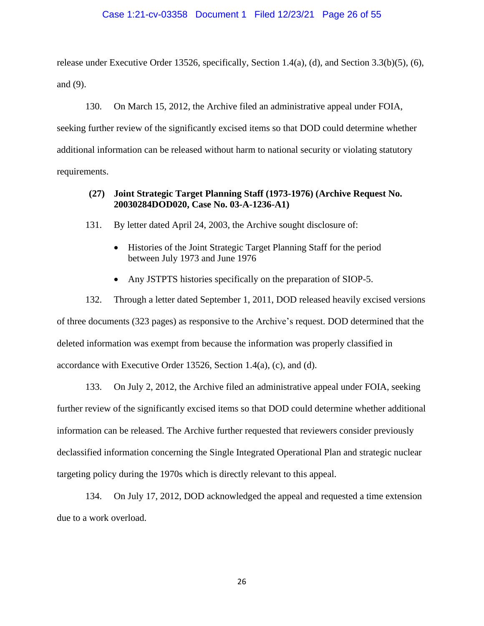#### Case 1:21-cv-03358 Document 1 Filed 12/23/21 Page 26 of 55

release under Executive Order 13526, specifically, Section 1.4(a), (d), and Section 3.3(b)(5), (6), and (9).

130. On March 15, 2012, the Archive filed an administrative appeal under FOIA, seeking further review of the significantly excised items so that DOD could determine whether additional information can be released without harm to national security or violating statutory requirements.

# **(27) Joint Strategic Target Planning Staff (1973-1976) (Archive Request No. 20030284DOD020, Case No. 03-A-1236-A1)**

131. By letter dated April 24, 2003, the Archive sought disclosure of:

- Histories of the Joint Strategic Target Planning Staff for the period between July 1973 and June 1976
- Any JSTPTS histories specifically on the preparation of SIOP-5.

132. Through a letter dated September 1, 2011, DOD released heavily excised versions of three documents (323 pages) as responsive to the Archive's request. DOD determined that the deleted information was exempt from because the information was properly classified in accordance with Executive Order 13526, Section 1.4(a), (c), and (d).

133. On July 2, 2012, the Archive filed an administrative appeal under FOIA, seeking further review of the significantly excised items so that DOD could determine whether additional information can be released. The Archive further requested that reviewers consider previously declassified information concerning the Single Integrated Operational Plan and strategic nuclear targeting policy during the 1970s which is directly relevant to this appeal.

134. On July 17, 2012, DOD acknowledged the appeal and requested a time extension due to a work overload.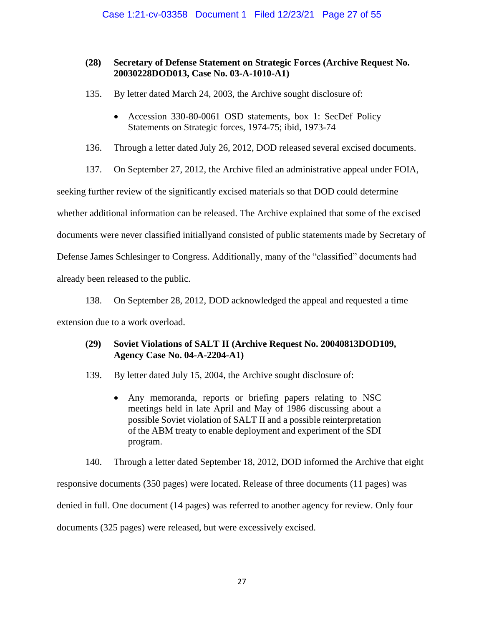# **(28) Secretary of Defense Statement on Strategic Forces (Archive Request No. 20030228DOD013, Case No. 03-A-1010-A1)**

- 135. By letter dated March 24, 2003, the Archive sought disclosure of:
	- Accession 330-80-0061 OSD statements, box 1: SecDef Policy Statements on Strategic forces, 1974-75; ibid, 1973-74

136. Through a letter dated July 26, 2012, DOD released several excised documents.

137. On September 27, 2012, the Archive filed an administrative appeal under FOIA,

seeking further review of the significantly excised materials so that DOD could determine

whether additional information can be released. The Archive explained that some of the excised

documents were never classified initiallyand consisted of public statements made by Secretary of

Defense James Schlesinger to Congress. Additionally, many of the "classified" documents had

already been released to the public.

138. On September 28, 2012, DOD acknowledged the appeal and requested a time extension due to a work overload.

# **(29) Soviet Violations of SALT II (Archive Request No. 20040813DOD109, Agency Case No. 04-A-2204-A1)**

139. By letter dated July 15, 2004, the Archive sought disclosure of:

• Any memoranda, reports or briefing papers relating to NSC meetings held in late April and May of 1986 discussing about a possible Soviet violation of SALT II and a possible reinterpretation of the ABM treaty to enable deployment and experiment of the SDI program.

140. Through a letter dated September 18, 2012, DOD informed the Archive that eight

responsive documents (350 pages) were located. Release of three documents (11 pages) was

denied in full. One document (14 pages) was referred to another agency for review. Only four

documents (325 pages) were released, but were excessively excised.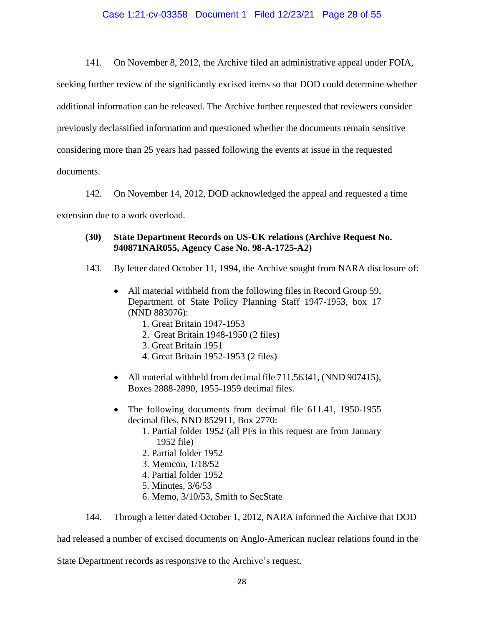#### Case 1:21-cv-03358 Document 1 Filed 12/23/21 Page 28 of 55

141. On November 8, 2012, the Archive filed an administrative appeal under FOIA,

seeking further review of the significantly excised items so that DOD could determine whether additional information can be released. The Archive further requested that reviewers consider previously declassified information and questioned whether the documents remain sensitive considering more than 25 years had passed following the events at issue in the requested documents.

142. On November 14, 2012, DOD acknowledged the appeal and requested a time extension due to a work overload.

# **(30) State Department Records on US-UK relations (Archive Request No. 940871NAR055, Agency Case No. 98-A-1725-A2)**

- 143. By letter dated October 11, 1994, the Archive sought from NARA disclosure of:
	- All material withheld from the following files in Record Group 59, Department of State Policy Planning Staff 1947-1953, box 17 (NND 883076):
		- 1. Great Britain 1947-1953
		- 2. Great Britain 1948-1950 (2 files)
		- 3. Great Britain 1951
		- 4. Great Britain 1952-1953 (2 files)
	- All material withheld from decimal file 711.56341, (NND 907415), Boxes 2888-2890, 1955-1959 decimal files.
	- The following documents from decimal file 611.41, 1950-1955 decimal files, NND 852911, Box 2770:
		- 1. Partial folder 1952 (all PFs in this request are from January 1952 file)
		- 2. Partial folder 1952
		- 3. Memcon, 1/18/52
		- 4. Partial folder 1952
		- 5. Minutes, 3/6/53
		- 6. Memo, 3/10/53, Smith to SecState

144. Through a letter dated October 1, 2012, NARA informed the Archive that DOD

had released a number of excised documents on Anglo-American nuclear relations found in the

State Department records as responsive to the Archive's request.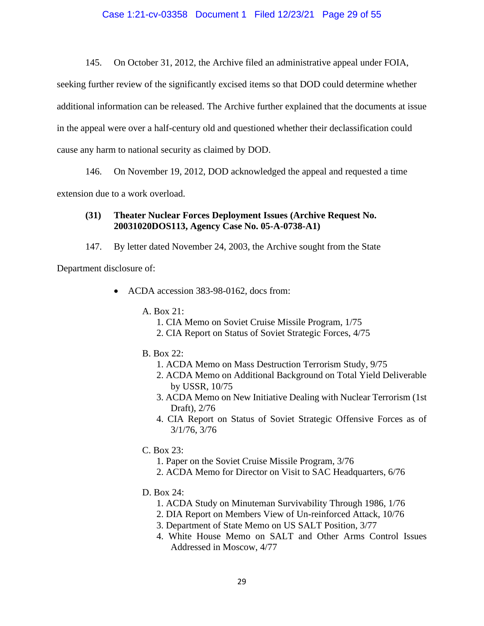145. On October 31, 2012, the Archive filed an administrative appeal under FOIA,

seeking further review of the significantly excised items so that DOD could determine whether additional information can be released. The Archive further explained that the documents at issue in the appeal were over a half-century old and questioned whether their declassification could cause any harm to national security as claimed by DOD.

146. On November 19, 2012, DOD acknowledged the appeal and requested a time

extension due to a work overload.

# **(31) Theater Nuclear Forces Deployment Issues (Archive Request No. 20031020DOS113, Agency Case No. 05-A-0738-A1)**

147. By letter dated November 24, 2003, the Archive sought from the State

Department disclosure of:

- ACDA accession 383-98-0162, docs from:
	- A. Box 21:
		- 1. CIA Memo on Soviet Cruise Missile Program, 1/75
		- 2. CIA Report on Status of Soviet Strategic Forces, 4/75
	- B. Box 22:
		- 1. ACDA Memo on Mass Destruction Terrorism Study, 9/75
		- 2. ACDA Memo on Additional Background on Total Yield Deliverable by USSR, 10/75
		- 3. ACDA Memo on New Initiative Dealing with Nuclear Terrorism (1st Draft), 2/76
		- 4. CIA Report on Status of Soviet Strategic Offensive Forces as of 3/1/76, 3/76
	- C. Box 23:
		- 1. Paper on the Soviet Cruise Missile Program, 3/76
		- 2. ACDA Memo for Director on Visit to SAC Headquarters, 6/76
	- D. Box 24:
		- 1. ACDA Study on Minuteman Survivability Through 1986, 1/76
		- 2. DIA Report on Members View of Un-reinforced Attack, 10/76
		- 3. Department of State Memo on US SALT Position, 3/77
		- 4. White House Memo on SALT and Other Arms Control Issues Addressed in Moscow, 4/77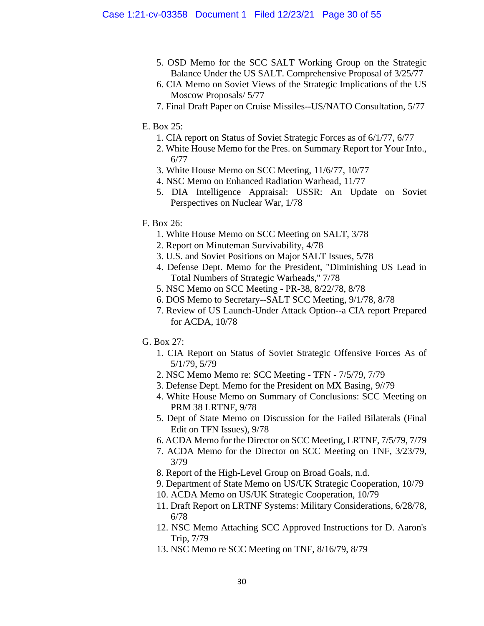- 5. OSD Memo for the SCC SALT Working Group on the Strategic Balance Under the US SALT. Comprehensive Proposal of 3/25/77
- 6. CIA Memo on Soviet Views of the Strategic Implications of the US Moscow Proposals/ 5/77
- 7. Final Draft Paper on Cruise Missiles--US/NATO Consultation, 5/77

## E. Box 25:

- 1. CIA report on Status of Soviet Strategic Forces as of 6/1/77, 6/77
- 2. White House Memo for the Pres. on Summary Report for Your Info., 6/77
- 3. White House Memo on SCC Meeting, 11/6/77, 10/77
- 4. NSC Memo on Enhanced Radiation Warhead, 11/77
- 5. DIA Intelligence Appraisal: USSR: An Update on Soviet Perspectives on Nuclear War, 1/78
- F. Box 26:
	- 1. White House Memo on SCC Meeting on SALT, 3/78
	- 2. Report on Minuteman Survivability, 4/78
	- 3. U.S. and Soviet Positions on Major SALT Issues, 5/78
	- 4. Defense Dept. Memo for the President, "Diminishing US Lead in Total Numbers of Strategic Warheads," 7/78
	- 5. NSC Memo on SCC Meeting PR-38, 8/22/78, 8/78
	- 6. DOS Memo to Secretary--SALT SCC Meeting, 9/1/78, 8/78
	- 7. Review of US Launch-Under Attack Option--a CIA report Prepared for ACDA, 10/78
- G. Box 27:
	- 1. CIA Report on Status of Soviet Strategic Offensive Forces As of 5/1/79, 5/79
	- 2. NSC Memo Memo re: SCC Meeting TFN 7/5/79, 7/79
	- 3. Defense Dept. Memo for the President on MX Basing, 9//79
	- 4. White House Memo on Summary of Conclusions: SCC Meeting on PRM 38 LRTNF, 9/78
	- 5. Dept of State Memo on Discussion for the Failed Bilaterals (Final Edit on TFN Issues), 9/78
	- 6. ACDA Memo for the Director on SCC Meeting, LRTNF, 7/5/79, 7/79
	- 7. ACDA Memo for the Director on SCC Meeting on TNF, 3/23/79, 3/79
	- 8. Report of the High-Level Group on Broad Goals, n.d.
	- 9. Department of State Memo on US/UK Strategic Cooperation, 10/79
	- 10. ACDA Memo on US/UK Strategic Cooperation, 10/79
	- 11. Draft Report on LRTNF Systems: Military Considerations, 6/28/78, 6/78
	- 12. NSC Memo Attaching SCC Approved Instructions for D. Aaron's Trip, 7/79
	- 13. NSC Memo re SCC Meeting on TNF, 8/16/79, 8/79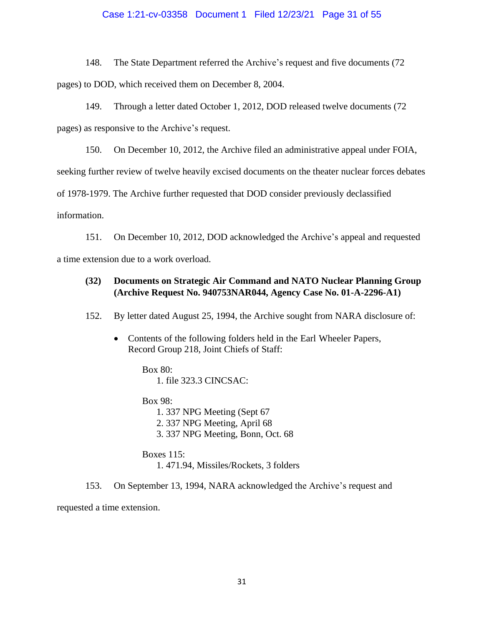#### Case 1:21-cv-03358 Document 1 Filed 12/23/21 Page 31 of 55

148. The State Department referred the Archive's request and five documents (72 pages) to DOD, which received them on December 8, 2004.

149. Through a letter dated October 1, 2012, DOD released twelve documents (72 pages) as responsive to the Archive's request.

150. On December 10, 2012, the Archive filed an administrative appeal under FOIA, seeking further review of twelve heavily excised documents on the theater nuclear forces debates of 1978-1979. The Archive further requested that DOD consider previously declassified information.

151. On December 10, 2012, DOD acknowledged the Archive's appeal and requested a time extension due to a work overload.

# **(32) Documents on Strategic Air Command and NATO Nuclear Planning Group (Archive Request No. 940753NAR044, Agency Case No. 01-A-2296-A1)**

152. By letter dated August 25, 1994, the Archive sought from NARA disclosure of:

• Contents of the following folders held in the Earl Wheeler Papers, Record Group 218, Joint Chiefs of Staff:

> Box 80: 1. file 323.3 CINCSAC:

Box 98: 1. 337 NPG Meeting (Sept 67 2. 337 NPG Meeting, April 68 3. 337 NPG Meeting, Bonn, Oct. 68

Boxes 115: 1. 471.94, Missiles/Rockets, 3 folders

153. On September 13, 1994, NARA acknowledged the Archive's request and requested a time extension.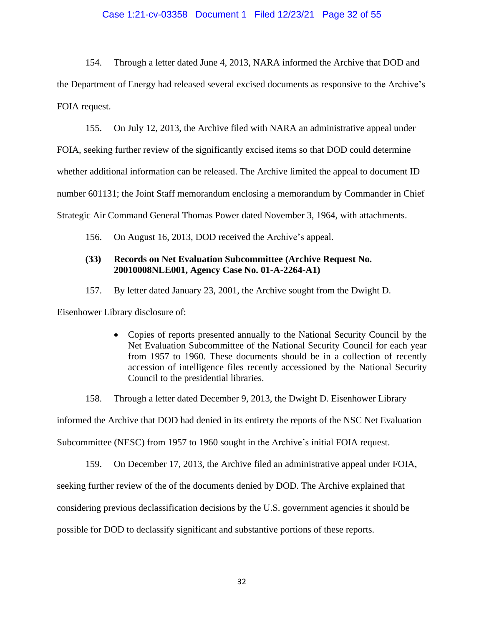#### Case 1:21-cv-03358 Document 1 Filed 12/23/21 Page 32 of 55

154. Through a letter dated June 4, 2013, NARA informed the Archive that DOD and the Department of Energy had released several excised documents as responsive to the Archive's FOIA request.

155. On July 12, 2013, the Archive filed with NARA an administrative appeal under

FOIA, seeking further review of the significantly excised items so that DOD could determine

whether additional information can be released. The Archive limited the appeal to document ID

number 601131; the Joint Staff memorandum enclosing a memorandum by Commander in Chief

Strategic Air Command General Thomas Power dated November 3, 1964, with attachments.

156. On August 16, 2013, DOD received the Archive's appeal.

## **(33) Records on Net Evaluation Subcommittee (Archive Request No. 20010008NLE001, Agency Case No. 01-A-2264-A1)**

157. By letter dated January 23, 2001, the Archive sought from the Dwight D.

Eisenhower Library disclosure of:

• Copies of reports presented annually to the National Security Council by the Net Evaluation Subcommittee of the National Security Council for each year from 1957 to 1960. These documents should be in a collection of recently accession of intelligence files recently accessioned by the National Security Council to the presidential libraries.

158. Through a letter dated December 9, 2013, the Dwight D. Eisenhower Library

informed the Archive that DOD had denied in its entirety the reports of the NSC Net Evaluation

Subcommittee (NESC) from 1957 to 1960 sought in the Archive's initial FOIA request.

159. On December 17, 2013, the Archive filed an administrative appeal under FOIA,

seeking further review of the of the documents denied by DOD. The Archive explained that

considering previous declassification decisions by the U.S. government agencies it should be

possible for DOD to declassify significant and substantive portions of these reports.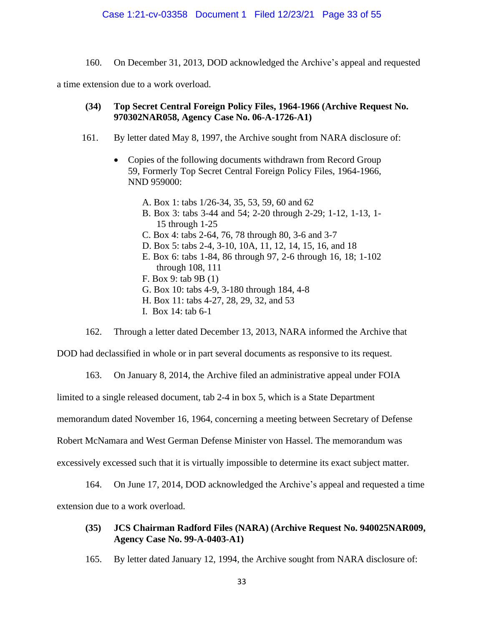160. On December 31, 2013, DOD acknowledged the Archive's appeal and requested

a time extension due to a work overload.

## **(34) Top Secret Central Foreign Policy Files, 1964-1966 (Archive Request No. 970302NAR058, Agency Case No. 06-A-1726-A1)**

- 161. By letter dated May 8, 1997, the Archive sought from NARA disclosure of:
	- Copies of the following documents withdrawn from Record Group 59, Formerly Top Secret Central Foreign Policy Files, 1964-1966, NND 959000:
		- A. Box 1: tabs 1/26-34, 35, 53, 59, 60 and 62
		- B. Box 3: tabs 3-44 and 54; 2-20 through 2-29; 1-12, 1-13, 1- 15 through 1-25
		- C. Box 4: tabs 2-64, 76, 78 through 80, 3-6 and 3-7
		- D. Box 5: tabs 2-4, 3-10, 10A, 11, 12, 14, 15, 16, and 18
		- E. Box 6: tabs 1-84, 86 through 97, 2-6 through 16, 18; 1-102 through 108, 111
		- F. Box 9: tab 9B (1)
		- G. Box 10: tabs 4-9, 3-180 through 184, 4-8
		- H. Box 11: tabs 4-27, 28, 29, 32, and 53
		- I. Box 14: tab 6-1

162. Through a letter dated December 13, 2013, NARA informed the Archive that

DOD had declassified in whole or in part several documents as responsive to its request.

163. On January 8, 2014, the Archive filed an administrative appeal under FOIA

limited to a single released document, tab 2-4 in box 5, which is a State Department

memorandum dated November 16, 1964, concerning a meeting between Secretary of Defense

Robert McNamara and West German Defense Minister von Hassel. The memorandum was

excessively excessed such that it is virtually impossible to determine its exact subject matter.

164. On June 17, 2014, DOD acknowledged the Archive's appeal and requested a time extension due to a work overload.

# **(35) JCS Chairman Radford Files (NARA) (Archive Request No. 940025NAR009, Agency Case No. 99-A-0403-A1)**

165. By letter dated January 12, 1994, the Archive sought from NARA disclosure of: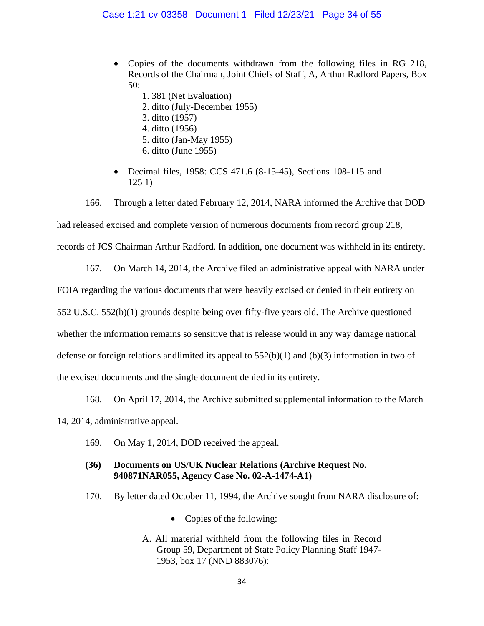- Copies of the documents withdrawn from the following files in RG 218, Records of the Chairman, Joint Chiefs of Staff, A, Arthur Radford Papers, Box 50:
	- 1. 381 (Net Evaluation)
	- 2. ditto (July-December 1955)
	- 3. ditto (1957)
	- 4. ditto (1956)
	- 5. ditto (Jan-May 1955)
	- 6. ditto (June 1955)
- Decimal files, 1958: CCS 471.6 (8-15-45), Sections 108-115 and 125 1)

166. Through a letter dated February 12, 2014, NARA informed the Archive that DOD had released excised and complete version of numerous documents from record group 218, records of JCS Chairman Arthur Radford. In addition, one document was withheld in its entirety.

167. On March 14, 2014, the Archive filed an administrative appeal with NARA under FOIA regarding the various documents that were heavily excised or denied in their entirety on 552 U.S.C. 552(b)(1) grounds despite being over fifty-five years old. The Archive questioned whether the information remains so sensitive that is release would in any way damage national defense or foreign relations and limited its appeal to  $552(b)(1)$  and  $(b)(3)$  information in two of the excised documents and the single document denied in its entirety.

168. On April 17, 2014, the Archive submitted supplemental information to the March 14, 2014, administrative appeal.

169. On May 1, 2014, DOD received the appeal.

# **(36) Documents on US/UK Nuclear Relations (Archive Request No. 940871NAR055, Agency Case No. 02-A-1474-A1)**

- 170. By letter dated October 11, 1994, the Archive sought from NARA disclosure of:
	- Copies of the following:
	- A. All material withheld from the following files in Record Group 59, Department of State Policy Planning Staff 1947- 1953, box 17 (NND 883076):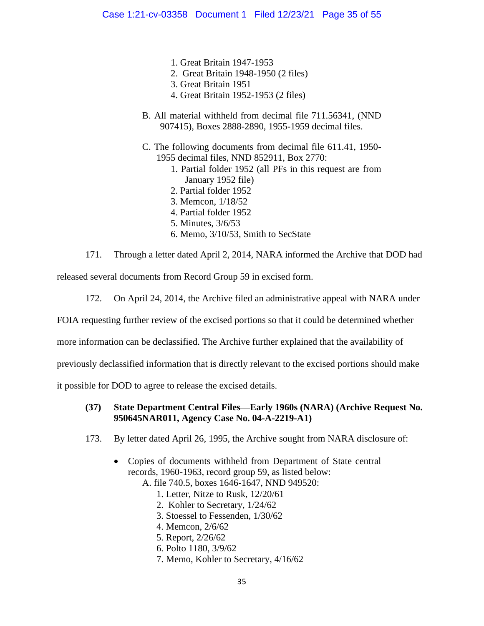- 1. Great Britain 1947-1953
- 2. Great Britain 1948-1950 (2 files)
- 3. Great Britain 1951
- 4. Great Britain 1952-1953 (2 files)
- B. All material withheld from decimal file 711.56341, (NND 907415), Boxes 2888-2890, 1955-1959 decimal files.
- C. The following documents from decimal file 611.41, 1950- 1955 decimal files, NND 852911, Box 2770:
	- 1. Partial folder 1952 (all PFs in this request are from January 1952 file)
	- 2. Partial folder 1952
	- 3. Memcon, 1/18/52
	- 4. Partial folder 1952
	- 5. Minutes, 3/6/53
	- 6. Memo, 3/10/53, Smith to SecState

171. Through a letter dated April 2, 2014, NARA informed the Archive that DOD had

released several documents from Record Group 59 in excised form.

172. On April 24, 2014, the Archive filed an administrative appeal with NARA under

FOIA requesting further review of the excised portions so that it could be determined whether

more information can be declassified. The Archive further explained that the availability of

previously declassified information that is directly relevant to the excised portions should make

it possible for DOD to agree to release the excised details.

# **(37) State Department Central Files—Early 1960s (NARA) (Archive Request No. 950645NAR011, Agency Case No. 04-A-2219-A1)**

- 173. By letter dated April 26, 1995, the Archive sought from NARA disclosure of:
	- Copies of documents withheld from Department of State central records, 1960-1963, record group 59, as listed below:
		- A. file 740.5, boxes 1646-1647, NND 949520:
			- 1. Letter, Nitze to Rusk, 12/20/61
			- 2. Kohler to Secretary, 1/24/62
			- 3. Stoessel to Fessenden, 1/30/62
			- 4. Memcon, 2/6/62
			- 5. Report, 2/26/62
			- 6. Polto 1180, 3/9/62
			- 7. Memo, Kohler to Secretary, 4/16/62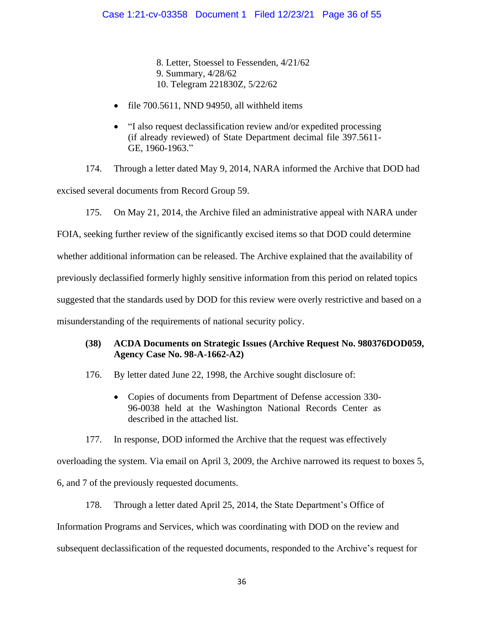8. Letter, Stoessel to Fessenden, 4/21/62 9. Summary, 4/28/62 10. Telegram 221830Z, 5/22/62

- file 700.5611, NND 94950, all withheld items
- "I also request declassification review and/or expedited processing (if already reviewed) of State Department decimal file 397.5611- GE, 1960-1963."

174. Through a letter dated May 9, 2014, NARA informed the Archive that DOD had excised several documents from Record Group 59.

175. On May 21, 2014, the Archive filed an administrative appeal with NARA under

FOIA, seeking further review of the significantly excised items so that DOD could determine

whether additional information can be released. The Archive explained that the availability of

previously declassified formerly highly sensitive information from this period on related topics

suggested that the standards used by DOD for this review were overly restrictive and based on a

misunderstanding of the requirements of national security policy.

# **(38) ACDA Documents on Strategic Issues (Archive Request No. 980376DOD059, Agency Case No. 98-A-1662-A2)**

176. By letter dated June 22, 1998, the Archive sought disclosure of:

• Copies of documents from Department of Defense accession 330- 96-0038 held at the Washington National Records Center as described in the attached list.

177. In response, DOD informed the Archive that the request was effectively

overloading the system. Via email on April 3, 2009, the Archive narrowed its request to boxes 5, 6, and 7 of the previously requested documents.

178. Through a letter dated April 25, 2014, the State Department's Office of Information Programs and Services, which was coordinating with DOD on the review and subsequent declassification of the requested documents, responded to the Archive's request for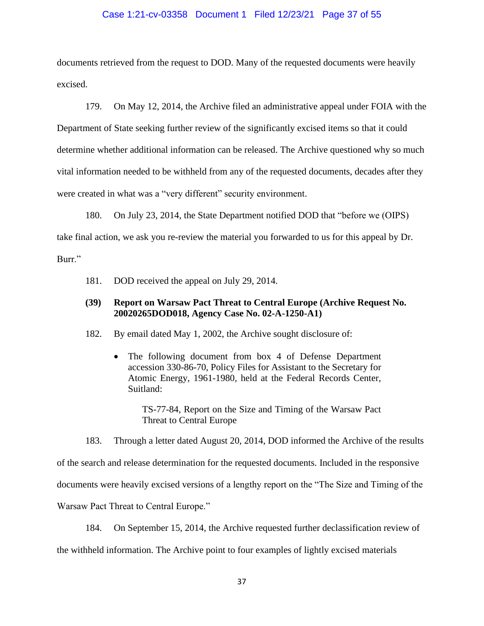#### Case 1:21-cv-03358 Document 1 Filed 12/23/21 Page 37 of 55

documents retrieved from the request to DOD. Many of the requested documents were heavily excised.

179. On May 12, 2014, the Archive filed an administrative appeal under FOIA with the Department of State seeking further review of the significantly excised items so that it could determine whether additional information can be released. The Archive questioned why so much vital information needed to be withheld from any of the requested documents, decades after they were created in what was a "very different" security environment.

180. On July 23, 2014, the State Department notified DOD that "before we (OIPS) take final action, we ask you re-review the material you forwarded to us for this appeal by Dr. Burr."

181. DOD received the appeal on July 29, 2014.

## **(39) Report on Warsaw Pact Threat to Central Europe (Archive Request No. 20020265DOD018, Agency Case No. 02-A-1250-A1)**

- 182. By email dated May 1, 2002, the Archive sought disclosure of:
	- The following document from box 4 of Defense Department accession 330-86-70, Policy Files for Assistant to the Secretary for Atomic Energy, 1961-1980, held at the Federal Records Center, Suitland:

TS-77-84, Report on the Size and Timing of the Warsaw Pact Threat to Central Europe

183. Through a letter dated August 20, 2014, DOD informed the Archive of the results

of the search and release determination for the requested documents. Included in the responsive

documents were heavily excised versions of a lengthy report on the "The Size and Timing of the

Warsaw Pact Threat to Central Europe."

184. On September 15, 2014, the Archive requested further declassification review of

the withheld information. The Archive point to four examples of lightly excised materials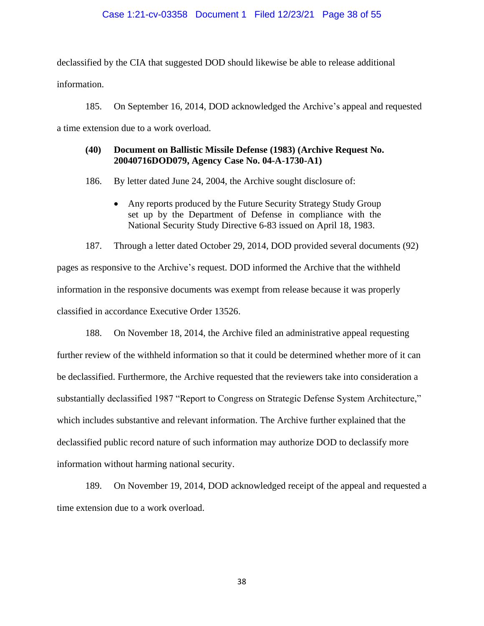declassified by the CIA that suggested DOD should likewise be able to release additional information.

185. On September 16, 2014, DOD acknowledged the Archive's appeal and requested a time extension due to a work overload.

# **(40) Document on Ballistic Missile Defense (1983) (Archive Request No. 20040716DOD079, Agency Case No. 04-A-1730-A1)**

186. By letter dated June 24, 2004, the Archive sought disclosure of:

• Any reports produced by the Future Security Strategy Study Group set up by the Department of Defense in compliance with the National Security Study Directive 6-83 issued on April 18, 1983.

187. Through a letter dated October 29, 2014, DOD provided several documents (92) pages as responsive to the Archive's request. DOD informed the Archive that the withheld information in the responsive documents was exempt from release because it was properly classified in accordance Executive Order 13526.

188. On November 18, 2014, the Archive filed an administrative appeal requesting further review of the withheld information so that it could be determined whether more of it can be declassified. Furthermore, the Archive requested that the reviewers take into consideration a substantially declassified 1987 "Report to Congress on Strategic Defense System Architecture," which includes substantive and relevant information. The Archive further explained that the declassified public record nature of such information may authorize DOD to declassify more information without harming national security.

189. On November 19, 2014, DOD acknowledged receipt of the appeal and requested a time extension due to a work overload.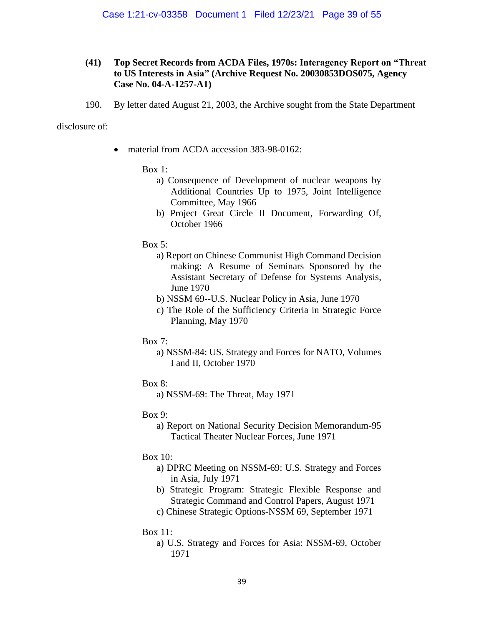# **(41) Top Secret Records from ACDA Files, 1970s: Interagency Report on "Threat to US Interests in Asia" (Archive Request No. 20030853DOS075, Agency Case No. 04-A-1257-A1)**

190. By letter dated August 21, 2003, the Archive sought from the State Department

disclosure of:

• material from ACDA accession 383-98-0162:

### Box 1:

- a) Consequence of Development of nuclear weapons by Additional Countries Up to 1975, Joint Intelligence Committee, May 1966
- b) Project Great Circle II Document, Forwarding Of, October 1966

### Box 5:

- a) Report on Chinese Communist High Command Decision making: A Resume of Seminars Sponsored by the Assistant Secretary of Defense for Systems Analysis, June 1970
- b) NSSM 69--U.S. Nuclear Policy in Asia, June 1970
- c) The Role of the Sufficiency Criteria in Strategic Force Planning, May 1970
- Box 7:
	- a) NSSM-84: US. Strategy and Forces for NATO, Volumes I and II, October 1970
- Box 8:

a) NSSM-69: The Threat, May 1971

- Box 9:
	- a) Report on National Security Decision Memorandum-95 Tactical Theater Nuclear Forces, June 1971
- Box 10:
	- a) DPRC Meeting on NSSM-69: U.S. Strategy and Forces in Asia, July 1971
	- b) Strategic Program: Strategic Flexible Response and Strategic Command and Control Papers, August 1971
	- c) Chinese Strategic Options-NSSM 69, September 1971

# Box 11:

a) U.S. Strategy and Forces for Asia: NSSM-69, October 1971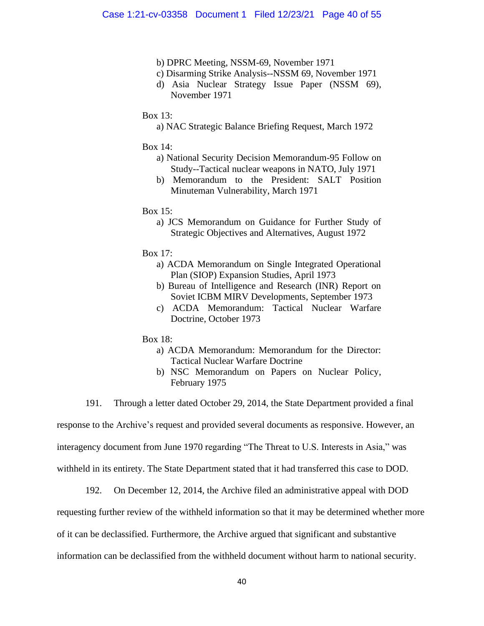- b) DPRC Meeting, NSSM-69, November 1971
- c) Disarming Strike Analysis--NSSM 69, November 1971
- d) Asia Nuclear Strategy Issue Paper (NSSM 69), November 1971

#### Box 13:

a) NAC Strategic Balance Briefing Request, March 1972

#### Box 14:

- a) National Security Decision Memorandum-95 Follow on Study--Tactical nuclear weapons in NATO, July 1971
- b) Memorandum to the President: SALT Position Minuteman Vulnerability, March 1971

#### Box  $15$ :

a) JCS Memorandum on Guidance for Further Study of Strategic Objectives and Alternatives, August 1972

#### Box 17:

- a) ACDA Memorandum on Single Integrated Operational Plan (SIOP) Expansion Studies, April 1973
- b) Bureau of Intelligence and Research (INR) Report on Soviet ICBM MIRV Developments, September 1973
- c) ACDA Memorandum: Tactical Nuclear Warfare Doctrine, October 1973

### Box 18:

- a) ACDA Memorandum: Memorandum for the Director: Tactical Nuclear Warfare Doctrine
- b) NSC Memorandum on Papers on Nuclear Policy, February 1975

191. Through a letter dated October 29, 2014, the State Department provided a final

response to the Archive's request and provided several documents as responsive. However, an

interagency document from June 1970 regarding "The Threat to U.S. Interests in Asia," was

withheld in its entirety. The State Department stated that it had transferred this case to DOD.

192. On December 12, 2014, the Archive filed an administrative appeal with DOD

requesting further review of the withheld information so that it may be determined whether more

of it can be declassified. Furthermore, the Archive argued that significant and substantive

information can be declassified from the withheld document without harm to national security.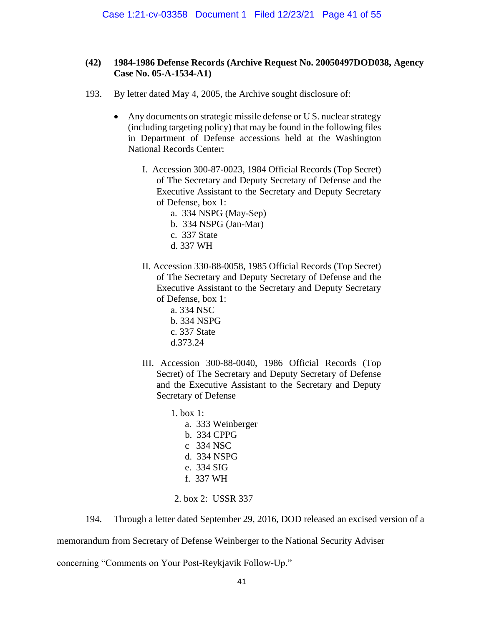# **(42) 1984-1986 Defense Records (Archive Request No. 20050497DOD038, Agency Case No. 05-A-1534-A1)**

- 193. By letter dated May 4, 2005, the Archive sought disclosure of:
	- Any documents on strategic missile defense or U S. nuclear strategy (including targeting policy) that may be found in the following files in Department of Defense accessions held at the Washington National Records Center:
		- I. Accession 300-87-0023, 1984 Official Records (Top Secret) of The Secretary and Deputy Secretary of Defense and the Executive Assistant to the Secretary and Deputy Secretary of Defense, box 1:
			- a. 334 NSPG (May-Sep) b. 334 NSPG (Jan-Mar) c. 337 State d. 337 WH
		- II. Accession 330-88-0058, 1985 Official Records (Top Secret) of The Secretary and Deputy Secretary of Defense and the Executive Assistant to the Secretary and Deputy Secretary of Defense, box 1:
			- a. 334 NSC b. 334 NSPG c. 337 State d.373.24
		- III. Accession 300-88-0040, 1986 Official Records (Top Secret) of The Secretary and Deputy Secretary of Defense and the Executive Assistant to the Secretary and Deputy Secretary of Defense
			- 1. box 1: a. 333 Weinberger b. 334 CPPG c 334 NSC d. 334 NSPG e. 334 SIG f. 337 WH
			- 2. box 2: USSR 337

194. Through a letter dated September 29, 2016, DOD released an excised version of a

memorandum from Secretary of Defense Weinberger to the National Security Adviser

concerning "Comments on Your Post-Reykjavik Follow-Up."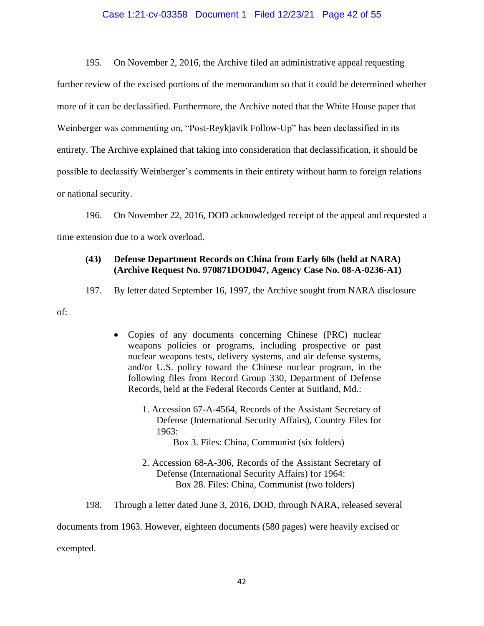#### Case 1:21-cv-03358 Document 1 Filed 12/23/21 Page 42 of 55

195. On November 2, 2016, the Archive filed an administrative appeal requesting further review of the excised portions of the memorandum so that it could be determined whether more of it can be declassified. Furthermore, the Archive noted that the White House paper that Weinberger was commenting on, "Post-Reykjavik Follow-Up" has been declassified in its entirety. The Archive explained that taking into consideration that declassification, it should be possible to declassify Weinberger's comments in their entirety without harm to foreign relations or national security.

196. On November 22, 2016, DOD acknowledged receipt of the appeal and requested a time extension due to a work overload.

# **(43) Defense Department Records on China from Early 60s (held at NARA) (Archive Request No. 970871DOD047, Agency Case No. 08-A-0236-A1)**

197. By letter dated September 16, 1997, the Archive sought from NARA disclosure

of:

- Copies of any documents concerning Chinese (PRC) nuclear weapons policies or programs, including prospective or past nuclear weapons tests, delivery systems, and air defense systems, and/or U.S. policy toward the Chinese nuclear program, in the following files from Record Group 330, Department of Defense Records, held at the Federal Records Center at Suitland, Md.:
	- 1. Accession 67-A-4564, Records of the Assistant Secretary of Defense (International Security Affairs), Country Files for 1963: Box 3. Files: China, Communist (six folders)
	- 2. Accession 68-A-306, Records of the Assistant Secretary of Defense (International Security Affairs) for 1964:

Box 28. Files: China, Communist (two folders)

198. Through a letter dated June 3, 2016, DOD, through NARA, released several

documents from 1963. However, eighteen documents (580 pages) were heavily excised or

exempted.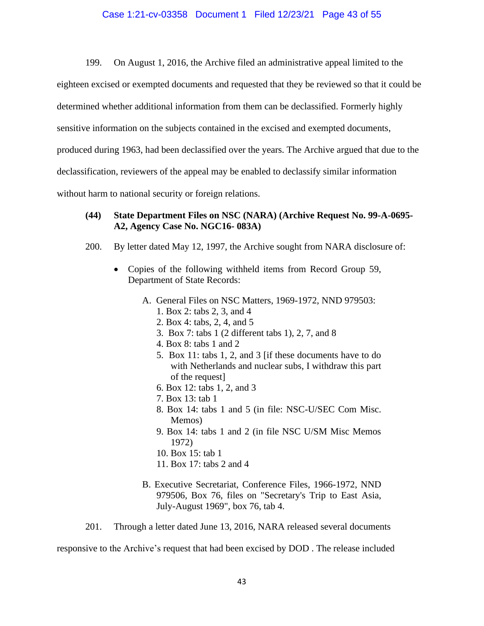#### Case 1:21-cv-03358 Document 1 Filed 12/23/21 Page 43 of 55

199. On August 1, 2016, the Archive filed an administrative appeal limited to the

eighteen excised or exempted documents and requested that they be reviewed so that it could be

determined whether additional information from them can be declassified. Formerly highly

sensitive information on the subjects contained in the excised and exempted documents,

produced during 1963, had been declassified over the years. The Archive argued that due to the

declassification, reviewers of the appeal may be enabled to declassify similar information

without harm to national security or foreign relations.

### **(44) State Department Files on NSC (NARA) (Archive Request No. 99-A-0695- A2, Agency Case No. NGC16- 083A)**

- 200. By letter dated May 12, 1997, the Archive sought from NARA disclosure of:
	- Copies of the following withheld items from Record Group 59, Department of State Records:
		- A. General Files on NSC Matters, 1969-1972, NND 979503: 1. Box 2: tabs 2, 3, and 4
			- 2. Box 4: tabs, 2, 4, and 5
			- 3. Box 7: tabs 1 (2 different tabs 1), 2, 7, and 8
			- 4. Box 8: tabs 1 and 2
			- 5. Box 11: tabs 1, 2, and 3 [if these documents have to do with Netherlands and nuclear subs, I withdraw this part of the request]
			- 6. Box 12: tabs 1, 2, and 3
			- 7. Box 13: tab 1
			- 8. Box 14: tabs 1 and 5 (in file: NSC-U/SEC Com Misc. Memos)
			- 9. Box 14: tabs 1 and 2 (in file NSC U/SM Misc Memos 1972)
			- 10. Box 15: tab 1
			- 11. Box 17: tabs 2 and 4
		- B. Executive Secretariat, Conference Files, 1966-1972, NND 979506, Box 76, files on "Secretary's Trip to East Asia, July-August 1969", box 76, tab 4.

201. Through a letter dated June 13, 2016, NARA released several documents

responsive to the Archive's request that had been excised by DOD . The release included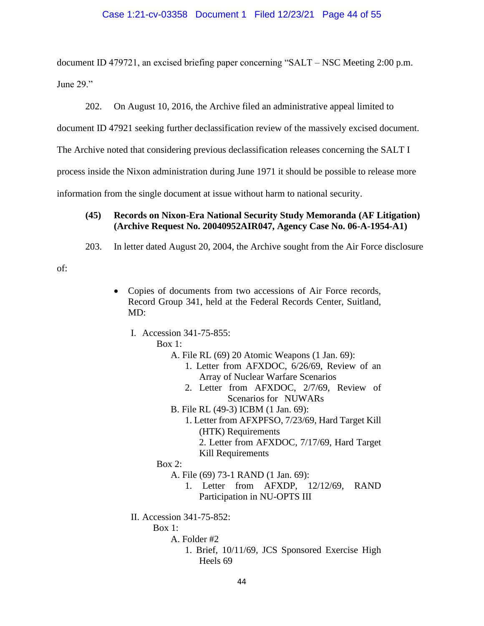### Case 1:21-cv-03358 Document 1 Filed 12/23/21 Page 44 of 55

document ID 479721, an excised briefing paper concerning "SALT – NSC Meeting 2:00 p.m. June 29."

202. On August 10, 2016, the Archive filed an administrative appeal limited to

document ID 47921 seeking further declassification review of the massively excised document.

The Archive noted that considering previous declassification releases concerning the SALT I

process inside the Nixon administration during June 1971 it should be possible to release more

information from the single document at issue without harm to national security.

# **(45) Records on Nixon-Era National Security Study Memoranda (AF Litigation) (Archive Request No. 20040952AIR047, Agency Case No. 06-A-1954-A1)**

203. In letter dated August 20, 2004, the Archive sought from the Air Force disclosure

of:

- Copies of documents from two accessions of Air Force records, Record Group 341, held at the Federal Records Center, Suitland, MD:
	- I. Accession 341-75-855:

Box 1:

- A. File RL (69) 20 Atomic Weapons (1 Jan. 69):
	- 1. Letter from AFXDOC, 6/26/69, Review of an Array of Nuclear Warfare Scenarios
	- 2. Letter from AFXDOC, 2/7/69, Review of Scenarios for NUWARs
- B. File RL (49-3) ICBM (1 Jan. 69):
	- 1. Letter from AFXPFSO, 7/23/69, Hard Target Kill (HTK) Requirements
		- 2. Letter from AFXDOC, 7/17/69, Hard Target Kill Requirements

Box 2:

- A. File (69) 73-1 RAND (1 Jan. 69):
	- 1. Letter from AFXDP, 12/12/69, RAND Participation in NU-OPTS III
- II. Accession 341-75-852:
	- $Box 1:$ 
		- A. Folder #2
			- 1. Brief, 10/11/69, JCS Sponsored Exercise High Heels 69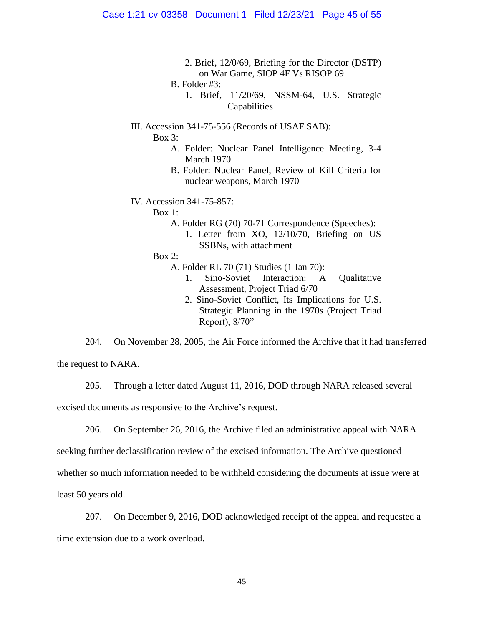- 2. Brief, 12/0/69, Briefing for the Director (DSTP) on War Game, SIOP 4F Vs RISOP 69
- B. Folder #3:
	- 1. Brief, 11/20/69, NSSM-64, U.S. Strategic Capabilities
- III. Accession 341-75-556 (Records of USAF SAB):
	- Box 3:
		- A. Folder: Nuclear Panel Intelligence Meeting, 3-4 March 1970
		- B. Folder: Nuclear Panel, Review of Kill Criteria for nuclear weapons, March 1970
- IV. Accession 341-75-857:

Box 1:

- A. Folder RG (70) 70-71 Correspondence (Speeches):
	- 1. Letter from XO, 12/10/70, Briefing on US SSBNs, with attachment

Box 2:

- A. Folder RL 70 (71) Studies (1 Jan 70):
	- 1. Sino-Soviet Interaction: A Qualitative Assessment, Project Triad 6/70
	- 2. Sino-Soviet Conflict, Its Implications for U.S. Strategic Planning in the 1970s (Project Triad Report), 8/70"

204. On November 28, 2005, the Air Force informed the Archive that it had transferred

the request to NARA.

205. Through a letter dated August 11, 2016, DOD through NARA released several

excised documents as responsive to the Archive's request.

206. On September 26, 2016, the Archive filed an administrative appeal with NARA

seeking further declassification review of the excised information. The Archive questioned

whether so much information needed to be withheld considering the documents at issue were at

least 50 years old.

207. On December 9, 2016, DOD acknowledged receipt of the appeal and requested a

time extension due to a work overload.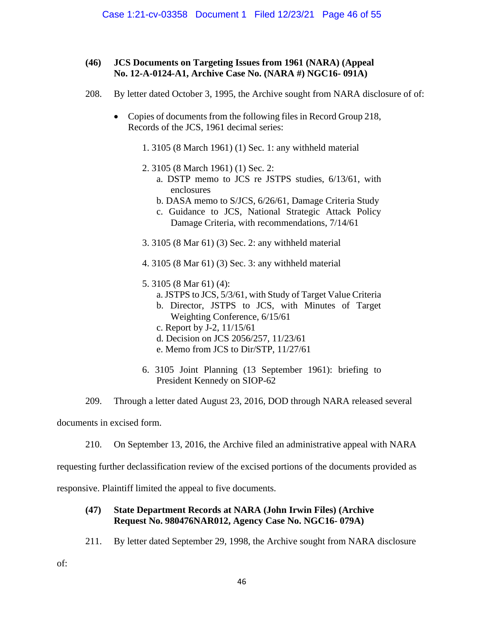# **(46) JCS Documents on Targeting Issues from 1961 (NARA) (Appeal No. 12-A-0124-A1, Archive Case No. (NARA #) NGC16- 091A)**

- 208. By letter dated October 3, 1995, the Archive sought from NARA disclosure of of:
	- Copies of documents from the following files in Record Group 218, Records of the JCS, 1961 decimal series:
		- 1. 3105 (8 March 1961) (1) Sec. 1: any withheld material
		- 2. 3105 (8 March 1961) (1) Sec. 2:
			- a. DSTP memo to JCS re JSTPS studies, 6/13/61, with enclosures
			- b. DASA memo to S/JCS, 6/26/61, Damage Criteria Study
			- c. Guidance to JCS, National Strategic Attack Policy Damage Criteria, with recommendations, 7/14/61
		- 3. 3105 (8 Mar 61) (3) Sec. 2: any withheld material
		- 4. 3105 (8 Mar 61) (3) Sec. 3: any withheld material
		- 5. 3105 (8 Mar 61) (4):
			- a. JSTPS to JCS, 5/3/61, with Study of Target Value Criteria
			- b. Director, JSTPS to JCS, with Minutes of Target Weighting Conference, 6/15/61
			- c. Report by J-2, 11/15/61
			- d. Decision on JCS 2056/257, 11/23/61
			- e. Memo from JCS to Dir/STP, 11/27/61
		- 6. 3105 Joint Planning (13 September 1961): briefing to President Kennedy on SIOP-62
- 209. Through a letter dated August 23, 2016, DOD through NARA released several

documents in excised form.

210. On September 13, 2016, the Archive filed an administrative appeal with NARA

requesting further declassification review of the excised portions of the documents provided as

responsive. Plaintiff limited the appeal to five documents.

# **(47) State Department Records at NARA (John Irwin Files) (Archive Request No. 980476NAR012, Agency Case No. NGC16- 079A)**

211. By letter dated September 29, 1998, the Archive sought from NARA disclosure

of: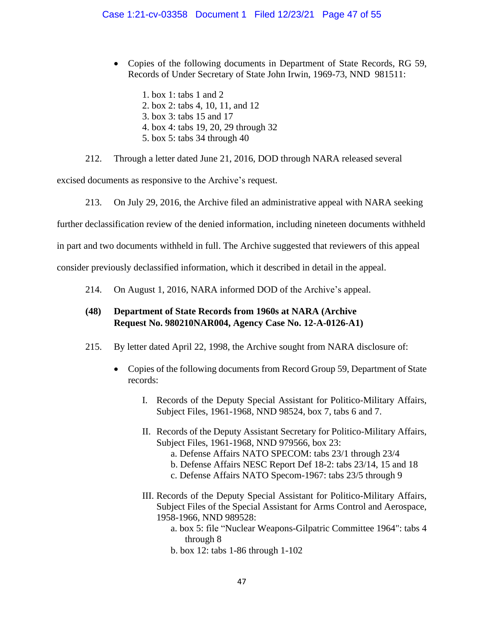• Copies of the following documents in Department of State Records, RG 59, Records of Under Secretary of State John Irwin, 1969-73, NND 981511:

1. box 1: tabs 1 and 2 2. box 2: tabs 4, 10, 11, and 12 3. box 3: tabs 15 and 17 4. box 4: tabs 19, 20, 29 through 32

5. box 5: tabs 34 through 40

212. Through a letter dated June 21, 2016, DOD through NARA released several

excised documents as responsive to the Archive's request.

213. On July 29, 2016, the Archive filed an administrative appeal with NARA seeking

further declassification review of the denied information, including nineteen documents withheld

in part and two documents withheld in full. The Archive suggested that reviewers of this appeal

consider previously declassified information, which it described in detail in the appeal.

214. On August 1, 2016, NARA informed DOD of the Archive's appeal.

# **(48) Department of State Records from 1960s at NARA (Archive Request No. 980210NAR004, Agency Case No. 12-A-0126-A1)**

- 215. By letter dated April 22, 1998, the Archive sought from NARA disclosure of:
	- Copies of the following documents from Record Group 59, Department of State records:
		- I. Records of the Deputy Special Assistant for Politico-Military Affairs, Subject Files, 1961-1968, NND 98524, box 7, tabs 6 and 7.
		- II. Records of the Deputy Assistant Secretary for Politico-Military Affairs, Subject Files, 1961-1968, NND 979566, box 23:
			- a. Defense Affairs NATO SPECOM: tabs 23/1 through 23/4
			- b. Defense Affairs NESC Report Def 18-2: tabs 23/14, 15 and 18
			- c. Defense Affairs NATO Specom-1967: tabs 23/5 through 9
		- III. Records of the Deputy Special Assistant for Politico-Military Affairs, Subject Files of the Special Assistant for Arms Control and Aerospace, 1958-1966, NND 989528:
			- a. box 5: file "Nuclear Weapons-Gilpatric Committee 1964": tabs 4 through 8
			- b. box 12: tabs 1-86 through 1-102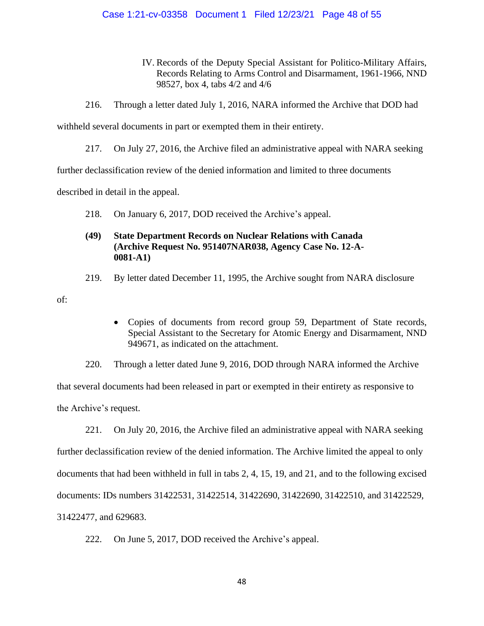### Case 1:21-cv-03358 Document 1 Filed 12/23/21 Page 48 of 55

- IV. Records of the Deputy Special Assistant for Politico-Military Affairs, Records Relating to Arms Control and Disarmament, 1961-1966, NND 98527, box 4, tabs 4/2 and 4/6
- 216. Through a letter dated July 1, 2016, NARA informed the Archive that DOD had

withheld several documents in part or exempted them in their entirety.

217. On July 27, 2016, the Archive filed an administrative appeal with NARA seeking

further declassification review of the denied information and limited to three documents

described in detail in the appeal.

218. On January 6, 2017, DOD received the Archive's appeal.

# **(49) State Department Records on Nuclear Relations with Canada (Archive Request No. 951407NAR038, Agency Case No. 12-A-0081-A1)**

219. By letter dated December 11, 1995, the Archive sought from NARA disclosure

of:

• Copies of documents from record group 59, Department of State records, Special Assistant to the Secretary for Atomic Energy and Disarmament, NND 949671, as indicated on the attachment.

220. Through a letter dated June 9, 2016, DOD through NARA informed the Archive that several documents had been released in part or exempted in their entirety as responsive to the Archive's request.

221. On July 20, 2016, the Archive filed an administrative appeal with NARA seeking further declassification review of the denied information. The Archive limited the appeal to only documents that had been withheld in full in tabs 2, 4, 15, 19, and 21, and to the following excised documents: IDs numbers 31422531, 31422514, 31422690, 31422690, 31422510, and 31422529, 31422477, and 629683.

222. On June 5, 2017, DOD received the Archive's appeal.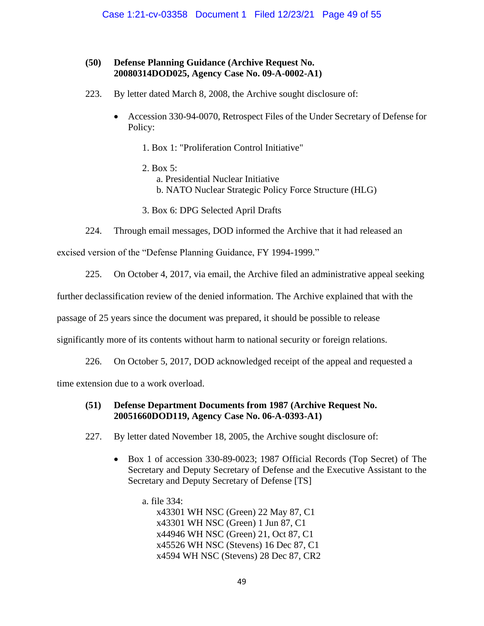# **(50) Defense Planning Guidance (Archive Request No. 20080314DOD025, Agency Case No. 09-A-0002-A1)**

- 223. By letter dated March 8, 2008, the Archive sought disclosure of:
	- Accession 330-94-0070, Retrospect Files of the Under Secretary of Defense for Policy:
		- 1. Box 1: "Proliferation Control Initiative"
		- 2. Box 5: a. Presidential Nuclear Initiative b. NATO Nuclear Strategic Policy Force Structure (HLG)
		- 3. Box 6: DPG Selected April Drafts
- 224. Through email messages, DOD informed the Archive that it had released an

excised version of the "Defense Planning Guidance, FY 1994-1999."

225. On October 4, 2017, via email, the Archive filed an administrative appeal seeking

further declassification review of the denied information. The Archive explained that with the

passage of 25 years since the document was prepared, it should be possible to release

significantly more of its contents without harm to national security or foreign relations.

226. On October 5, 2017, DOD acknowledged receipt of the appeal and requested a

time extension due to a work overload.

# **(51) Defense Department Documents from 1987 (Archive Request No. 20051660DOD119, Agency Case No. 06-A-0393-A1)**

- 227. By letter dated November 18, 2005, the Archive sought disclosure of:
	- Box 1 of accession 330-89-0023; 1987 Official Records (Top Secret) of The Secretary and Deputy Secretary of Defense and the Executive Assistant to the Secretary and Deputy Secretary of Defense [TS]
		- a. file 334: x43301 WH NSC (Green) 22 May 87, C1 x43301 WH NSC (Green) 1 Jun 87, C1 x44946 WH NSC (Green) 21, Oct 87, C1 x45526 WH NSC (Stevens) 16 Dec 87, C1 x4594 WH NSC (Stevens) 28 Dec 87, CR2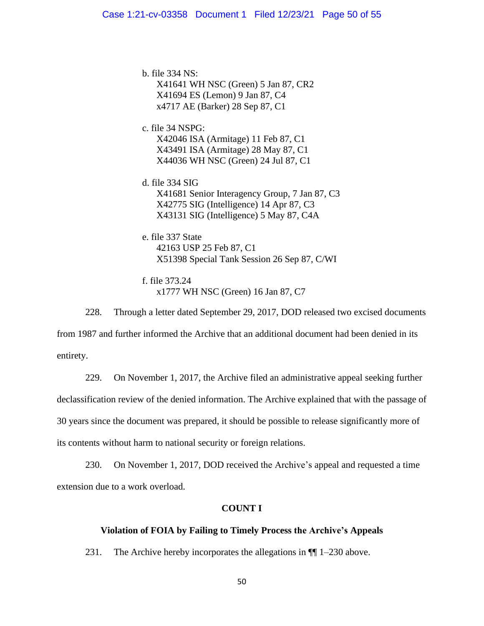b. file 334 NS: X41641 WH NSC (Green) 5 Jan 87, CR2 X41694 ES (Lemon) 9 Jan 87, C4 x4717 AE (Barker) 28 Sep 87, C1

c. file 34 NSPG: X42046 ISA (Armitage) 11 Feb 87, C1 X43491 ISA (Armitage) 28 May 87, C1 X44036 WH NSC (Green) 24 Jul 87, C1

d. file 334 SIG X41681 Senior Interagency Group, 7 Jan 87, C3 X42775 SIG (Intelligence) 14 Apr 87, C3 X43131 SIG (Intelligence) 5 May 87, C4A

e. file 337 State 42163 USP 25 Feb 87, C1 X51398 Special Tank Session 26 Sep 87, C/WI

f. file 373.24 x1777 WH NSC (Green) 16 Jan 87, C7

228. Through a letter dated September 29, 2017, DOD released two excised documents from 1987 and further informed the Archive that an additional document had been denied in its entirety.

229. On November 1, 2017, the Archive filed an administrative appeal seeking further declassification review of the denied information. The Archive explained that with the passage of 30 years since the document was prepared, it should be possible to release significantly more of its contents without harm to national security or foreign relations.

230. On November 1, 2017, DOD received the Archive's appeal and requested a time extension due to a work overload.

# **COUNT I**

# **Violation of FOIA by Failing to Timely Process the Archive's Appeals**

231. The Archive hereby incorporates the allegations in ¶¶ 1–230 above.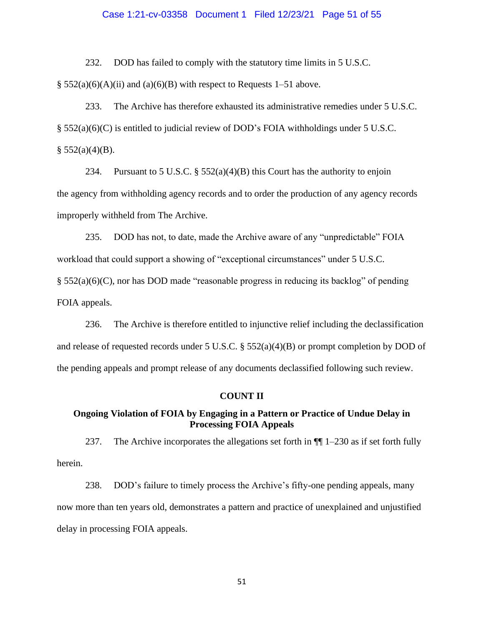#### Case 1:21-cv-03358 Document 1 Filed 12/23/21 Page 51 of 55

232. DOD has failed to comply with the statutory time limits in 5 U.S.C.

 $\S$  552(a)(6)(A)(ii) and (a)(6)(B) with respect to Requests 1–51 above.

233. The Archive has therefore exhausted its administrative remedies under 5 U.S.C. § 552(a)(6)(C) is entitled to judicial review of DOD's FOIA withholdings under 5 U.S.C.  $§ 552(a)(4)(B).$ 

234. Pursuant to 5 U.S.C.  $\S$  552(a)(4)(B) this Court has the authority to enjoin the agency from withholding agency records and to order the production of any agency records improperly withheld from The Archive.

235. DOD has not, to date, made the Archive aware of any "unpredictable" FOIA workload that could support a showing of "exceptional circumstances" under 5 U.S.C. § 552(a)(6)(C), nor has DOD made "reasonable progress in reducing its backlog" of pending FOIA appeals.

236. The Archive is therefore entitled to injunctive relief including the declassification and release of requested records under 5 U.S.C. § 552(a)(4)(B) or prompt completion by DOD of the pending appeals and prompt release of any documents declassified following such review.

### **COUNT II**

# **Ongoing Violation of FOIA by Engaging in a Pattern or Practice of Undue Delay in Processing FOIA Appeals**

237. The Archive incorporates the allegations set forth in  $\P$  1–230 as if set forth fully herein.

238. DOD's failure to timely process the Archive's fifty-one pending appeals, many now more than ten years old, demonstrates a pattern and practice of unexplained and unjustified delay in processing FOIA appeals.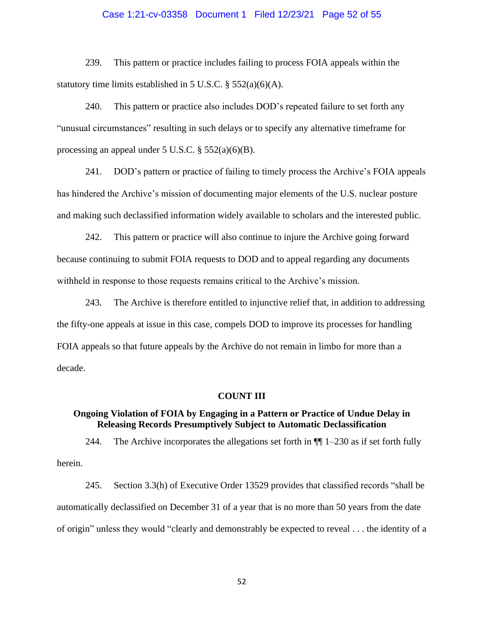#### Case 1:21-cv-03358 Document 1 Filed 12/23/21 Page 52 of 55

239. This pattern or practice includes failing to process FOIA appeals within the statutory time limits established in 5 U.S.C.  $\S$  552(a)(6)(A).

240. This pattern or practice also includes DOD's repeated failure to set forth any "unusual circumstances" resulting in such delays or to specify any alternative timeframe for processing an appeal under  $5$  U.S.C.  $\S$   $552(a)(6)(B)$ .

241. DOD's pattern or practice of failing to timely process the Archive's FOIA appeals has hindered the Archive's mission of documenting major elements of the U.S. nuclear posture and making such declassified information widely available to scholars and the interested public.

242. This pattern or practice will also continue to injure the Archive going forward because continuing to submit FOIA requests to DOD and to appeal regarding any documents withheld in response to those requests remains critical to the Archive's mission.

243. The Archive is therefore entitled to injunctive relief that, in addition to addressing the fifty-one appeals at issue in this case, compels DOD to improve its processes for handling FOIA appeals so that future appeals by the Archive do not remain in limbo for more than a decade.

### **COUNT III**

## **Ongoing Violation of FOIA by Engaging in a Pattern or Practice of Undue Delay in Releasing Records Presumptively Subject to Automatic Declassification**

244. The Archive incorporates the allegations set forth in  $\P$  1–230 as if set forth fully herein.

245. Section 3.3(h) of Executive Order 13529 provides that classified records "shall be automatically declassified on December 31 of a year that is no more than 50 years from the date of origin" unless they would "clearly and demonstrably be expected to reveal . . . the identity of a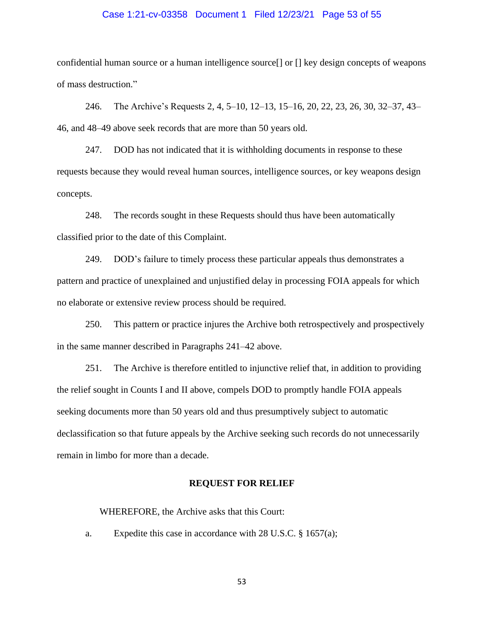#### Case 1:21-cv-03358 Document 1 Filed 12/23/21 Page 53 of 55

confidential human source or a human intelligence source[] or [] key design concepts of weapons of mass destruction."

246. The Archive's Requests 2, 4, 5–10, 12–13, 15–16, 20, 22, 23, 26, 30, 32–37, 43– 46, and 48–49 above seek records that are more than 50 years old.

247. DOD has not indicated that it is withholding documents in response to these requests because they would reveal human sources, intelligence sources, or key weapons design concepts.

248. The records sought in these Requests should thus have been automatically classified prior to the date of this Complaint.

249. DOD's failure to timely process these particular appeals thus demonstrates a pattern and practice of unexplained and unjustified delay in processing FOIA appeals for which no elaborate or extensive review process should be required.

250. This pattern or practice injures the Archive both retrospectively and prospectively in the same manner described in Paragraphs 241–42 above.

251. The Archive is therefore entitled to injunctive relief that, in addition to providing the relief sought in Counts I and II above, compels DOD to promptly handle FOIA appeals seeking documents more than 50 years old and thus presumptively subject to automatic declassification so that future appeals by the Archive seeking such records do not unnecessarily remain in limbo for more than a decade.

#### **REQUEST FOR RELIEF**

WHEREFORE, the Archive asks that this Court:

a. Expedite this case in accordance with 28 U.S.C. § 1657(a);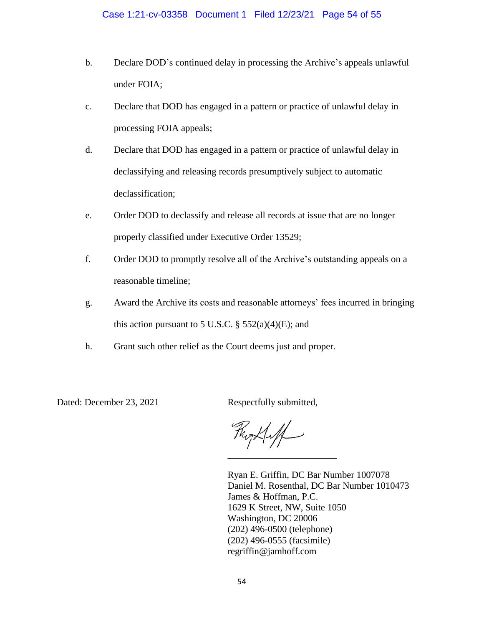- b. Declare DOD's continued delay in processing the Archive's appeals unlawful under FOIA;
- c. Declare that DOD has engaged in a pattern or practice of unlawful delay in processing FOIA appeals;
- d. Declare that DOD has engaged in a pattern or practice of unlawful delay in declassifying and releasing records presumptively subject to automatic declassification;
- e. Order DOD to declassify and release all records at issue that are no longer properly classified under Executive Order 13529;
- f. Order DOD to promptly resolve all of the Archive's outstanding appeals on a reasonable timeline;
- g. Award the Archive its costs and reasonable attorneys' fees incurred in bringing this action pursuant to 5 U.S.C.  $\S$  552(a)(4)(E); and
- h. Grant such other relief as the Court deems just and proper.

Dated: December 23, 2021 Respectfully submitted,

This Hilf \_\_\_\_\_\_\_\_\_\_\_\_\_\_\_\_\_\_\_\_\_\_\_

Ryan E. Griffin, DC Bar Number 1007078 Daniel M. Rosenthal, DC Bar Number 1010473 James & Hoffman, P.C. 1629 K Street, NW, Suite 1050 Washington, DC 20006 (202) 496-0500 (telephone) (202) 496-0555 (facsimile) regriffin@jamhoff.com